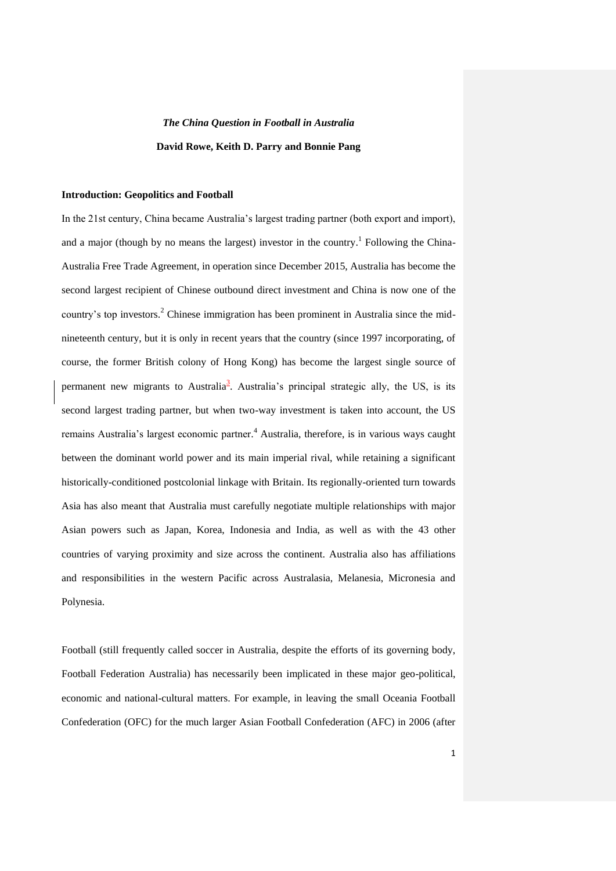# *The China Question in Football in Australia*  **David Rowe, Keith D. Parry and Bonnie Pang**

## **Introduction: Geopolitics and Football**

In the 21st century, China became Australia's largest trading partner (both export and import), and a major (though by no means the largest) investor in the country.<sup>1</sup> Following the China-Australia Free Trade Agreement, in operation since December 2015, Australia has become the second largest recipient of Chinese outbound direct investment and China is now one of the country's top investors. <sup>2</sup> Chinese immigration has been prominent in Australia since the midnineteenth century, but it is only in recent years that the country (since 1997 incorporating, of course, the former British colony of Hong Kong) has become the largest single source of permanent new migrants to Australia<sup>3</sup>. Australia's principal strategic ally, the US, is its second largest trading partner, but when two-way investment is taken into account, the US remains Australia's largest economic partner. <sup>4</sup> Australia, therefore, is in various ways caught between the dominant world power and its main imperial rival, while retaining a significant historically-conditioned postcolonial linkage with Britain. Its regionally-oriented turn towards Asia has also meant that Australia must carefully negotiate multiple relationships with major Asian powers such as Japan, Korea, Indonesia and India, as well as with the 43 other countries of varying proximity and size across the continent. Australia also has affiliations and responsibilities in the western Pacific across Australasia, Melanesia, Micronesia and Polynesia.

Football (still frequently called soccer in Australia, despite the efforts of its governing body, Football Federation Australia) has necessarily been implicated in these major geo-political, economic and national-cultural matters. For example, in leaving the small Oceania Football Confederation (OFC) for the much larger Asian Football Confederation (AFC) in 2006 (after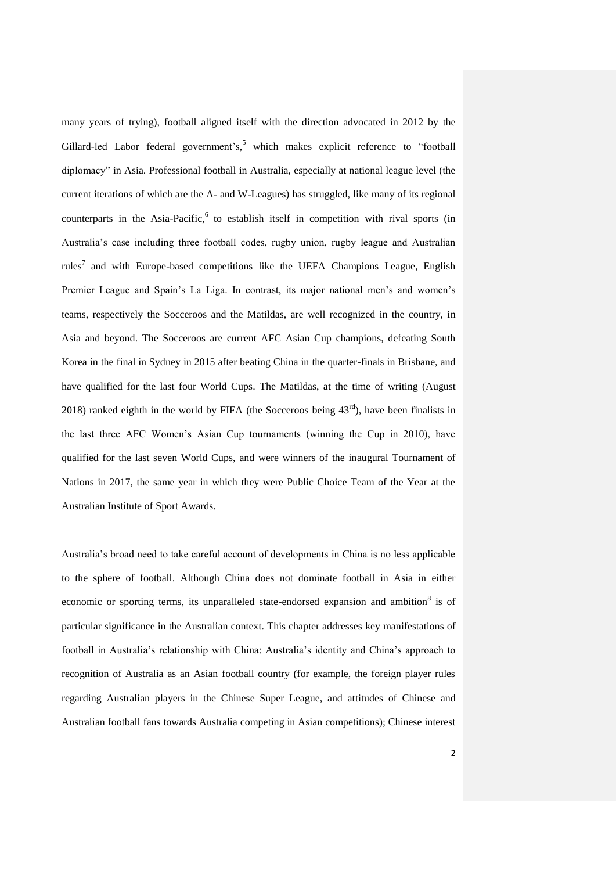many years of trying), football aligned itself with the direction advocated in 2012 by the Gillard-led Labor federal government's,<sup>5</sup> which makes explicit reference to "football diplomacy" in Asia. Professional football in Australia, especially at national league level (the current iterations of which are the A- and W-Leagues) has struggled, like many of its regional counterparts in the Asia-Pacific,<sup>6</sup> to establish itself in competition with rival sports (in Australia's case including three football codes, rugby union, rugby league and Australian rules<sup>7</sup> and with Europe-based competitions like the UEFA Champions League, English Premier League and Spain's La Liga. In contrast, its major national men's and women's teams, respectively the Socceroos and the Matildas, are well recognized in the country, in Asia and beyond. The Socceroos are current AFC Asian Cup champions, defeating South Korea in the final in Sydney in 2015 after beating China in the quarter-finals in Brisbane, and have qualified for the last four World Cups. The Matildas, at the time of writing (August 2018) ranked eighth in the world by FIFA (the Socceroos being  $43<sup>rd</sup>$ ), have been finalists in the last three AFC Women's Asian Cup tournaments (winning the Cup in 2010), have qualified for the last seven World Cups, and were winners of the inaugural Tournament of Nations in 2017, the same year in which they were Public Choice Team of the Year at the Australian Institute of Sport Awards.

Australia's broad need to take careful account of developments in China is no less applicable to the sphere of football. Although China does not dominate football in Asia in either economic or sporting terms, its unparalleled state-endorsed expansion and ambition<sup>8</sup> is of particular significance in the Australian context. This chapter addresses key manifestations of football in Australia's relationship with China: Australia's identity and China's approach to recognition of Australia as an Asian football country (for example, the foreign player rules regarding Australian players in the Chinese Super League, and attitudes of Chinese and Australian football fans towards Australia competing in Asian competitions); Chinese interest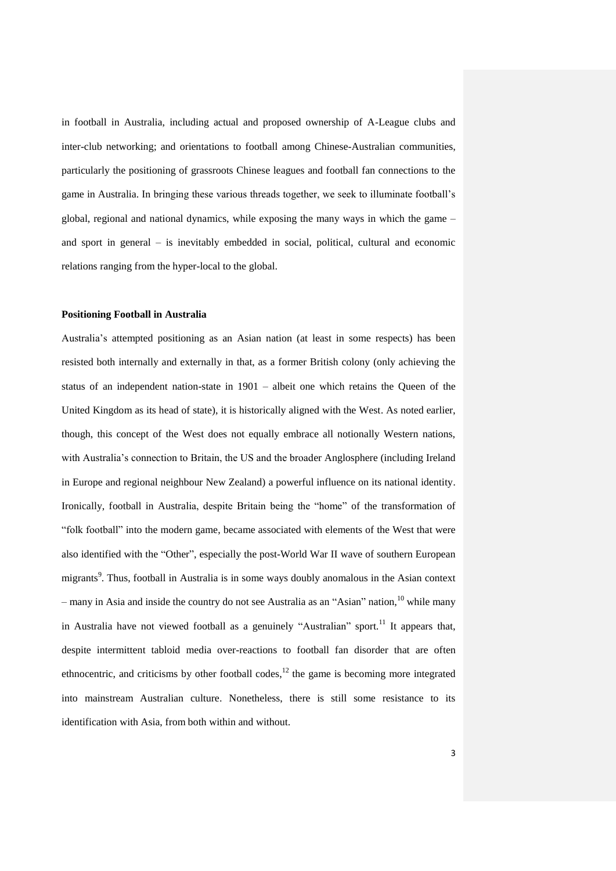in football in Australia, including actual and proposed ownership of A-League clubs and inter-club networking; and orientations to football among Chinese-Australian communities, particularly the positioning of grassroots Chinese leagues and football fan connections to the game in Australia. In bringing these various threads together, we seek to illuminate football's global, regional and national dynamics, while exposing the many ways in which the game – and sport in general – is inevitably embedded in social, political, cultural and economic relations ranging from the hyper-local to the global.

## **Positioning Football in Australia**

Australia's attempted positioning as an Asian nation (at least in some respects) has been resisted both internally and externally in that, as a former British colony (only achieving the status of an independent nation-state in 1901 – albeit one which retains the Queen of the United Kingdom as its head of state), it is historically aligned with the West. As noted earlier, though, this concept of the West does not equally embrace all notionally Western nations, with Australia's connection to Britain, the US and the broader Anglosphere (including Ireland in Europe and regional neighbour New Zealand) a powerful influence on its national identity. Ironically, football in Australia, despite Britain being the "home" of the transformation of "folk football" into the modern game, became associated with elements of the West that were also identified with the "Other", especially the post-World War II wave of southern European migrants<sup>9</sup>. Thus, football in Australia is in some ways doubly anomalous in the Asian context – many in Asia and inside the country do not see Australia as an "Asian" nation, <sup>10</sup> while many in Australia have not viewed football as a genuinely "Australian" sport.<sup>11</sup> It appears that, despite intermittent tabloid media over-reactions to football fan disorder that are often ethnocentric, and criticisms by other football codes, $12$  the game is becoming more integrated into mainstream Australian culture. Nonetheless, there is still some resistance to its identification with Asia, from both within and without.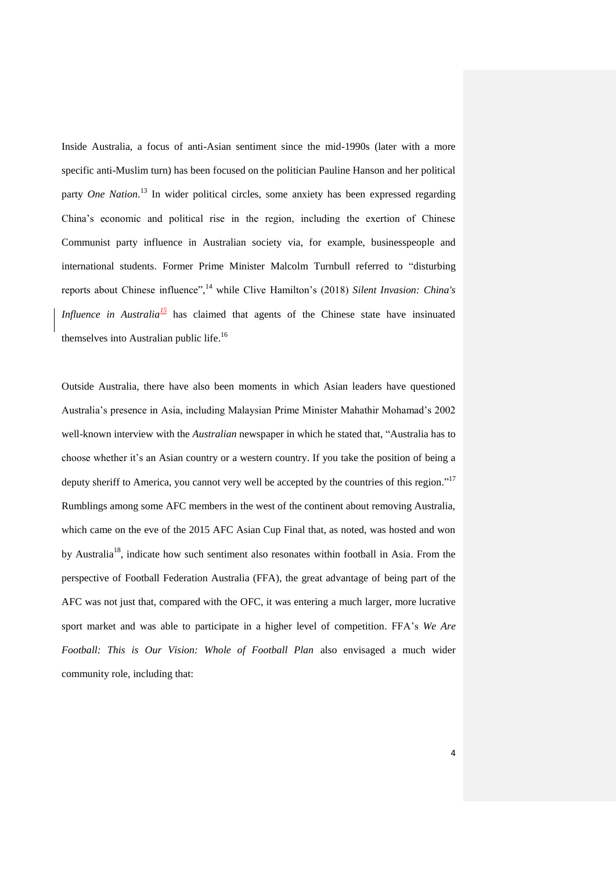Inside Australia, a focus of anti-Asian sentiment since the mid-1990s (later with a more specific anti-Muslim turn) has been focused on the politician Pauline Hanson and her political party *One Nation*. <sup>13</sup> In wider political circles, some anxiety has been expressed regarding China's economic and political rise in the region, including the exertion of Chinese Communist party influence in Australian society via, for example, businesspeople and international students. Former Prime Minister Malcolm Turnbull referred to "disturbing reports about Chinese influence", <sup>14</sup> while Clive Hamilton's (2018) *Silent Invasion: China's Influence in Australia*<sup> $15$ </sup> has claimed that agents of the Chinese state have insinuated themselves into Australian public life.<sup>16</sup>

Outside Australia, there have also been moments in which Asian leaders have questioned Australia's presence in Asia, including Malaysian Prime Minister Mahathir Mohamad's 2002 well-known interview with the *Australian* newspaper in which he stated that, "Australia has to choose whether it's an Asian country or a western country. If you take the position of being a deputy sheriff to America, you cannot very well be accepted by the countries of this region."<sup>17</sup> Rumblings among some AFC members in the west of the continent about removing Australia, which came on the eve of the 2015 AFC Asian Cup Final that, as noted, was hosted and won by Australia<sup>18</sup>, indicate how such sentiment also resonates within football in Asia. From the perspective of Football Federation Australia (FFA), the great advantage of being part of the AFC was not just that, compared with the OFC, it was entering a much larger, more lucrative sport market and was able to participate in a higher level of competition. FFA's *We Are Football: This is Our Vision: Whole of Football Plan* also envisaged a much wider community role, including that: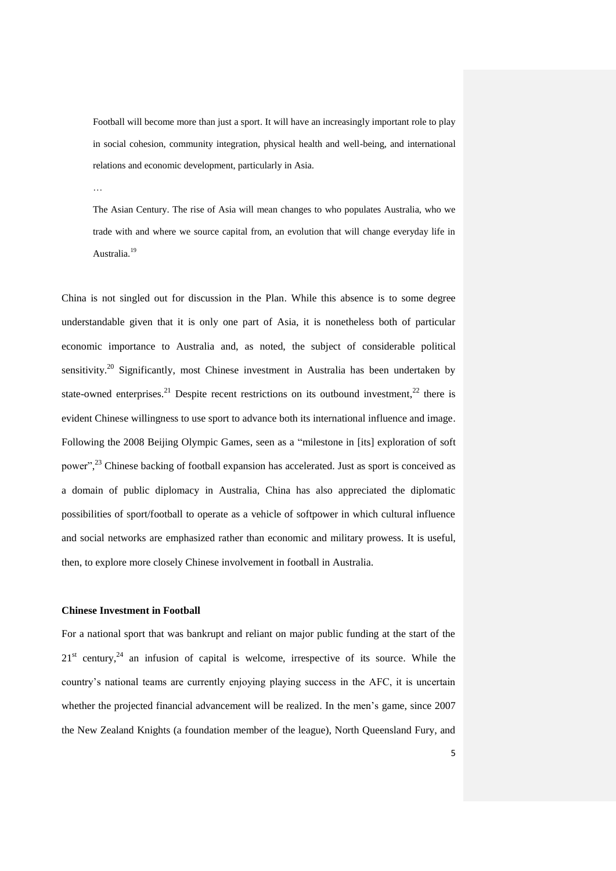Football will become more than just a sport. It will have an increasingly important role to play in social cohesion, community integration, physical health and well-being, and international relations and economic development, particularly in Asia.

…

The Asian Century. The rise of Asia will mean changes to who populates Australia, who we trade with and where we source capital from, an evolution that will change everyday life in Australia.<sup>19</sup>

China is not singled out for discussion in the Plan. While this absence is to some degree understandable given that it is only one part of Asia, it is nonetheless both of particular economic importance to Australia and, as noted, the subject of considerable political sensitivity.<sup>20</sup> Significantly, most Chinese investment in Australia has been undertaken by state-owned enterprises.<sup>21</sup> Despite recent restrictions on its outbound investment,<sup>22</sup> there is evident Chinese willingness to use sport to advance both its international influence and image. Following the 2008 Beijing Olympic Games, seen as a "milestone in [its] exploration of soft power",<sup>23</sup> Chinese backing of football expansion has accelerated. Just as sport is conceived as a domain of public diplomacy in Australia, China has also appreciated the diplomatic possibilities of sport/football to operate as a vehicle of softpower in which cultural influence and social networks are emphasized rather than economic and military prowess. It is useful, then, to explore more closely Chinese involvement in football in Australia.

# **Chinese Investment in Football**

For a national sport that was bankrupt and reliant on major public funding at the start of the  $21<sup>st</sup>$  century,<sup>24</sup> an infusion of capital is welcome, irrespective of its source. While the country's national teams are currently enjoying playing success in the AFC, it is uncertain whether the projected financial advancement will be realized. In the men's game, since 2007 the New Zealand Knights (a foundation member of the league), North Queensland Fury, and

5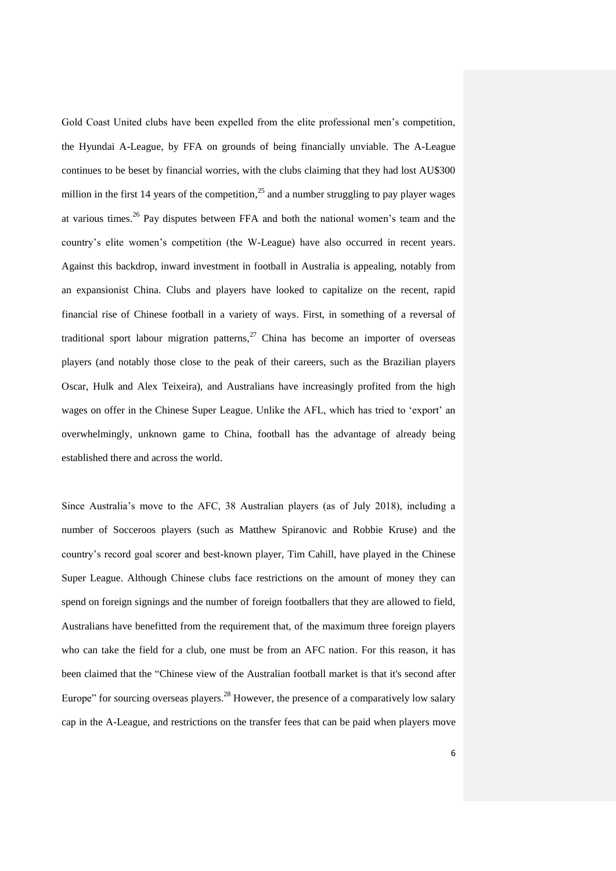Gold Coast United clubs have been expelled from the elite professional men's competition, the Hyundai A-League, by FFA on grounds of being financially unviable. The A-League continues to be beset by financial worries, with the clubs claiming that they had lost AU\$300 million in the first 14 years of the competition,<sup>25</sup> and a number struggling to pay player wages at various times.<sup>26</sup> Pay disputes between FFA and both the national women's team and the country's elite women's competition (the W-League) have also occurred in recent years. Against this backdrop, inward investment in football in Australia is appealing, notably from an expansionist China. Clubs and players have looked to capitalize on the recent, rapid financial rise of Chinese football in a variety of ways. First, in something of a reversal of traditional sport labour migration patterns, $^{27}$  China has become an importer of overseas players (and notably those close to the peak of their careers, such as the Brazilian players Oscar, Hulk and Alex Teixeira), and Australians have increasingly profited from the high wages on offer in the Chinese Super League. Unlike the AFL, which has tried to 'export' an overwhelmingly, unknown game to China, football has the advantage of already being established there and across the world.

Since Australia's move to the AFC, 38 Australian players (as of July 2018), including a number of Socceroos players (such as Matthew Spiranovic and Robbie Kruse) and the country's record goal scorer and best-known player, Tim Cahill, have played in the Chinese Super League. Although Chinese clubs face restrictions on the amount of money they can spend on foreign signings and the number of foreign footballers that they are allowed to field, Australians have benefitted from the requirement that, of the maximum three foreign players who can take the field for a club, one must be from an AFC nation. For this reason, it has been claimed that the "Chinese view of the Australian football market is that it's second after Europe" for sourcing overseas players.<sup>28</sup> However, the presence of a comparatively low salary cap in the A-League, and restrictions on the transfer fees that can be paid when players move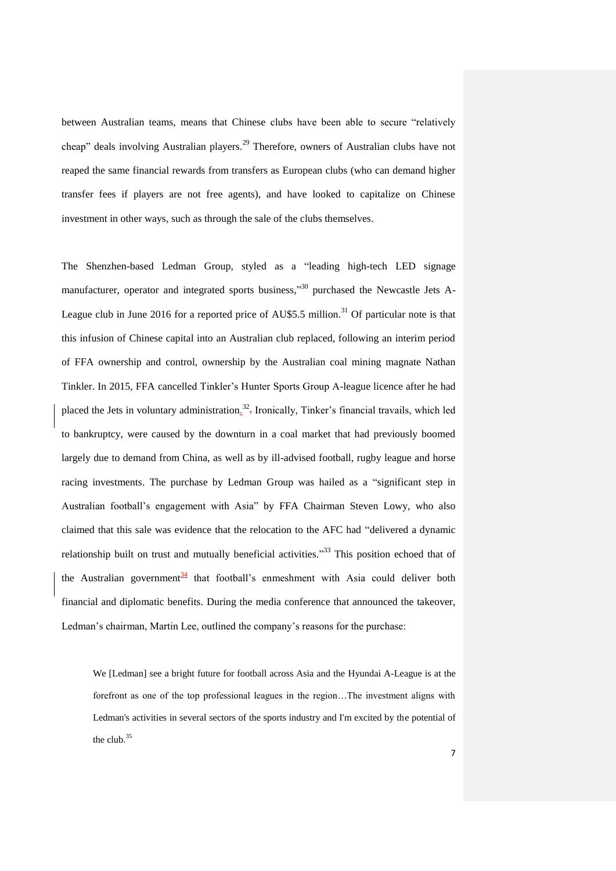between Australian teams, means that Chinese clubs have been able to secure "relatively cheap" deals involving Australian players.<sup>29</sup> Therefore, owners of Australian clubs have not reaped the same financial rewards from transfers as European clubs (who can demand higher transfer fees if players are not free agents), and have looked to capitalize on Chinese investment in other ways, such as through the sale of the clubs themselves.

The Shenzhen-based Ledman Group, styled as a "leading high-tech LED signage manufacturer, operator and integrated sports business,"<sup>30</sup> purchased the Newcastle Jets A-League club in June 2016 for a reported price of AU\$5.5 million.<sup>31</sup> Of particular note is that this infusion of Chinese capital into an Australian club replaced, following an interim period of FFA ownership and control, ownership by the Australian coal mining magnate Nathan Tinkler. In 2015, FFA cancelled Tinkler's Hunter Sports Group A-league licence after he had placed the Jets in voluntary administration.<sup>32</sup>. Ironically, Tinker's financial travails, which led to bankruptcy, were caused by the downturn in a coal market that had previously boomed largely due to demand from China, as well as by ill-advised football, rugby league and horse racing investments. The purchase by Ledman Group was hailed as a "significant step in Australian football's engagement with Asia" by FFA Chairman Steven Lowy, who also claimed that this sale was evidence that the relocation to the AFC had "delivered a dynamic relationship built on trust and mutually beneficial activities."<sup>33</sup> This position echoed that of the Australian government<sup>34</sup> that football's enmeshment with Asia could deliver both financial and diplomatic benefits. During the media conference that announced the takeover, Ledman's chairman, Martin Lee, outlined the company's reasons for the purchase:

We [Ledman] see a bright future for football across Asia and the Hyundai A-League is at the forefront as one of the top professional leagues in the region…The investment aligns with Ledman's activities in several sectors of the sports industry and I'm excited by the potential of the club.<sup>35</sup>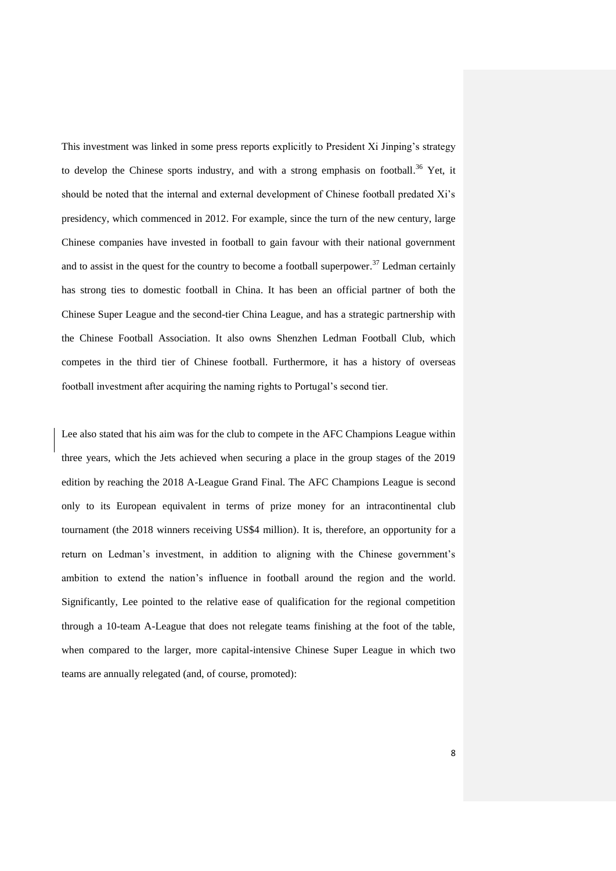This investment was linked in some press reports explicitly to President Xi Jinping's strategy to develop the Chinese sports industry, and with a strong emphasis on football.<sup>36</sup> Yet, it should be noted that the internal and external development of Chinese football predated Xi's presidency, which commenced in 2012. For example, since the turn of the new century, large Chinese companies have invested in football to gain favour with their national government and to assist in the quest for the country to become a football superpower.<sup>37</sup> Ledman certainly has strong ties to domestic football in China. It has been an official partner of both the Chinese Super League and the second-tier China League, and has a strategic partnership with the Chinese Football Association. It also owns Shenzhen Ledman Football Club, which competes in the third tier of Chinese football. Furthermore, it has a history of overseas football investment after acquiring the naming rights to Portugal's second tier.

Lee also stated that his aim was for the club to compete in the AFC Champions League within three years, which the Jets achieved when securing a place in the group stages of the 2019 edition by reaching the 2018 A-League Grand Final. The AFC Champions League is second only to its European equivalent in terms of prize money for an intracontinental club tournament (the 2018 winners receiving US\$4 million). It is, therefore, an opportunity for a return on Ledman's investment, in addition to aligning with the Chinese government's ambition to extend the nation's influence in football around the region and the world. Significantly, Lee pointed to the relative ease of qualification for the regional competition through a 10-team A-League that does not relegate teams finishing at the foot of the table, when compared to the larger, more capital-intensive Chinese Super League in which two teams are annually relegated (and, of course, promoted):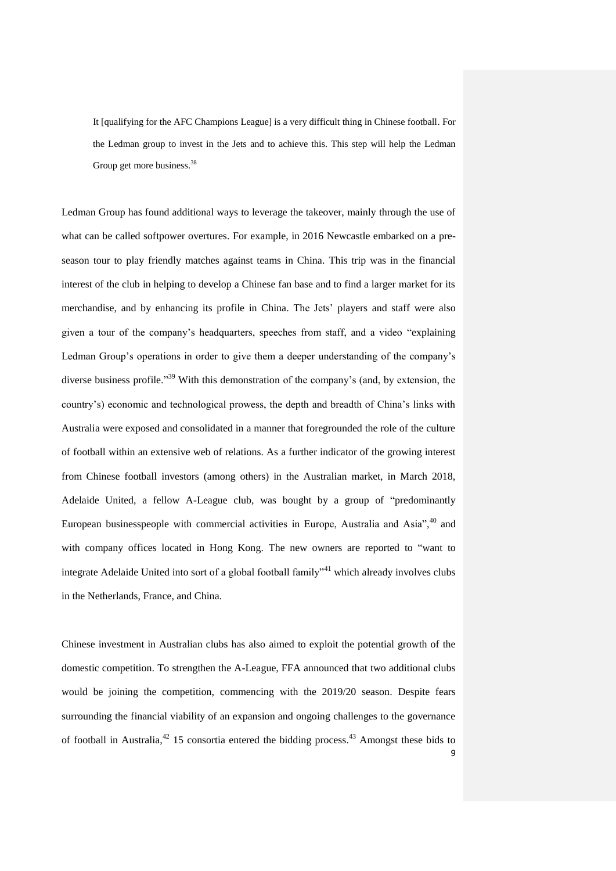It [qualifying for the AFC Champions League] is a very difficult thing in Chinese football. For the Ledman group to invest in the Jets and to achieve this. This step will help the Ledman Group get more business.<sup>38</sup>

Ledman Group has found additional ways to leverage the takeover, mainly through the use of what can be called softpower overtures. For example, in 2016 Newcastle embarked on a preseason tour to play friendly matches against teams in China. This trip was in the financial interest of the club in helping to develop a Chinese fan base and to find a larger market for its merchandise, and by enhancing its profile in China. The Jets' players and staff were also given a tour of the company's headquarters, speeches from staff, and a video "explaining Ledman Group's operations in order to give them a deeper understanding of the company's diverse business profile."<sup>39</sup> With this demonstration of the company's (and, by extension, the country's) economic and technological prowess, the depth and breadth of China's links with Australia were exposed and consolidated in a manner that foregrounded the role of the culture of football within an extensive web of relations. As a further indicator of the growing interest from Chinese football investors (among others) in the Australian market, in March 2018, Adelaide United, a fellow A-League club, was bought by a group of "predominantly European businesspeople with commercial activities in Europe, Australia and Asia", $40$  and with company offices located in Hong Kong. The new owners are reported to "want to integrate Adelaide United into sort of a global football family<sup>341</sup> which already involves clubs in the Netherlands, France, and China.

9 Chinese investment in Australian clubs has also aimed to exploit the potential growth of the domestic competition. To strengthen the A-League, FFA announced that two additional clubs would be joining the competition, commencing with the 2019/20 season. Despite fears surrounding the financial viability of an expansion and ongoing challenges to the governance of football in Australia, $^{42}$  15 consortia entered the bidding process.<sup>43</sup> Amongst these bids to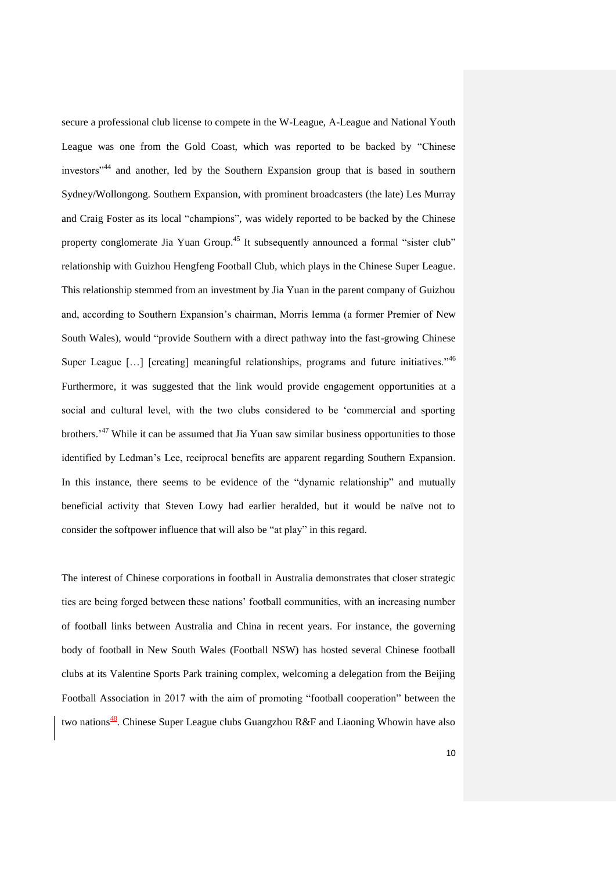secure a professional club license to compete in the W-League, A-League and National Youth League was one from the Gold Coast, which was reported to be backed by "Chinese investors"<sup>44</sup> and another, led by the Southern Expansion group that is based in southern Sydney/Wollongong. Southern Expansion, with prominent broadcasters (the late) Les Murray and Craig Foster as its local "champions", was widely reported to be backed by the Chinese property conglomerate Jia Yuan Group.<sup>45</sup> It subsequently announced a formal "sister club" relationship with Guizhou Hengfeng Football Club, which plays in the Chinese Super League. This relationship stemmed from an investment by Jia Yuan in the parent company of Guizhou and, according to Southern Expansion's chairman, Morris Iemma (a former Premier of New South Wales), would "provide Southern with a direct pathway into the fast-growing Chinese Super League  $[\dots]$  [creating] meaningful relationships, programs and future initiatives."<sup>46</sup> Furthermore, it was suggested that the link would provide engagement opportunities at a social and cultural level, with the two clubs considered to be 'commercial and sporting brothers.<sup>47</sup> While it can be assumed that Jia Yuan saw similar business opportunities to those identified by Ledman's Lee, reciprocal benefits are apparent regarding Southern Expansion. In this instance, there seems to be evidence of the "dynamic relationship" and mutually beneficial activity that Steven Lowy had earlier heralded, but it would be naïve not to consider the softpower influence that will also be "at play" in this regard.

The interest of Chinese corporations in football in Australia demonstrates that closer strategic ties are being forged between these nations' football communities, with an increasing number of football links between Australia and China in recent years. For instance, the governing body of football in New South Wales (Football NSW) has hosted several Chinese football clubs at its Valentine Sports Park training complex, welcoming a delegation from the Beijing Football Association in 2017 with the aim of promoting "football cooperation" between the two nations<sup>48</sup>. Chinese Super League clubs Guangzhou R&F and Liaoning Whowin have also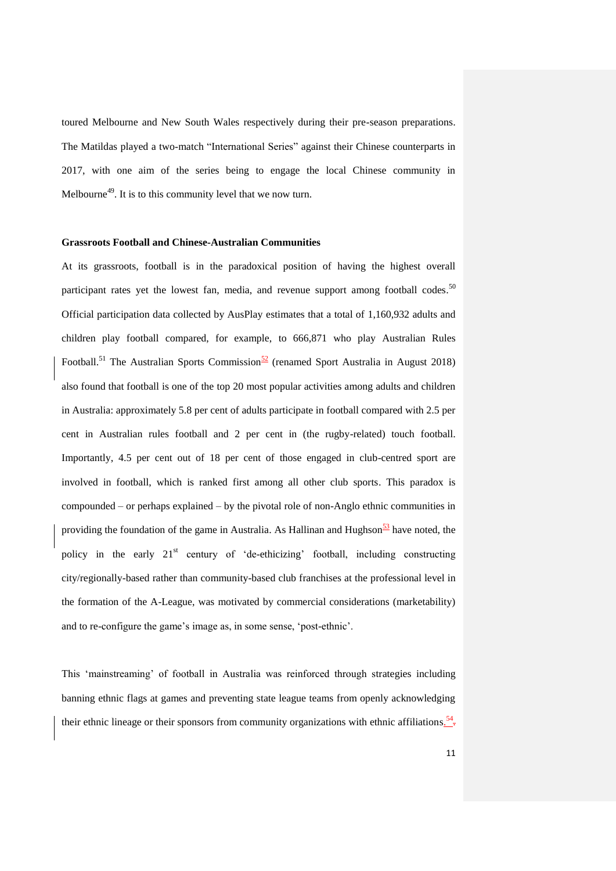toured Melbourne and New South Wales respectively during their pre-season preparations. The Matildas played a two-match "International Series" against their Chinese counterparts in 2017, with one aim of the series being to engage the local Chinese community in Melbourne<sup>49</sup>. It is to this community level that we now turn.

# **Grassroots Football and Chinese-Australian Communities**

At its grassroots, football is in the paradoxical position of having the highest overall participant rates yet the lowest fan, media, and revenue support among football codes.<sup>50</sup> Official participation data collected by AusPlay estimates that a total of 1,160,932 adults and children play football compared, for example, to 666,871 who play Australian Rules Football.<sup>51</sup> The Australian Sports Commission<sup>52</sup> (renamed Sport Australia in August 2018) also found that football is one of the top 20 most popular activities among adults and children in Australia: approximately 5.8 per cent of adults participate in football compared with 2.5 per cent in Australian rules football and 2 per cent in (the rugby-related) touch football. Importantly, 4.5 per cent out of 18 per cent of those engaged in club-centred sport are involved in football, which is ranked first among all other club sports. This paradox is compounded – or perhaps explained – by the pivotal role of non-Anglo ethnic communities in providing the foundation of the game in Australia. As Hallinan and Hughson<sup>53</sup> have noted, the policy in the early  $21<sup>st</sup>$  century of 'de-ethicizing' football, including constructing city/regionally-based rather than community-based club franchises at the professional level in the formation of the A-League, was motivated by commercial considerations (marketability) and to re-configure the game's image as, in some sense, 'post-ethnic'.

This 'mainstreaming' of football in Australia was reinforced through strategies including banning ethnic flags at games and preventing state league teams from openly acknowledging their ethnic lineage or their sponsors from community organizations with ethnic affiliations.<sup>54</sup>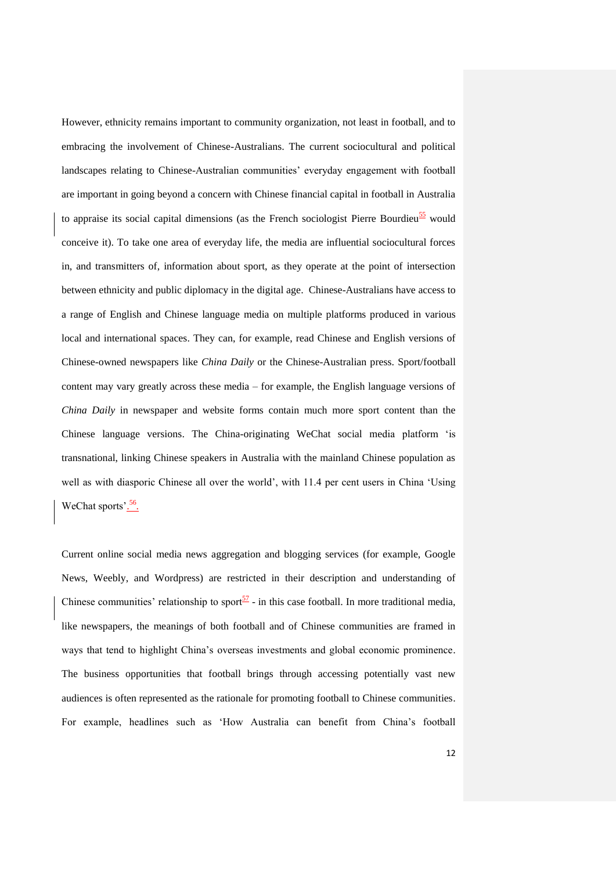However, ethnicity remains important to community organization, not least in football, and to embracing the involvement of Chinese-Australians. The current sociocultural and political landscapes relating to Chinese-Australian communities' everyday engagement with football are important in going beyond a concern with Chinese financial capital in football in Australia to appraise its social capital dimensions (as the French sociologist Pierre Bourdieu $\frac{55}{2}$  would conceive it). To take one area of everyday life, the media are influential sociocultural forces in, and transmitters of, information about sport, as they operate at the point of intersection between ethnicity and public diplomacy in the digital age. Chinese-Australians have access to a range of English and Chinese language media on multiple platforms produced in various local and international spaces. They can, for example, read Chinese and English versions of Chinese-owned newspapers like *China Daily* or the Chinese-Australian press. Sport/football content may vary greatly across these media – for example, the English language versions of *China Daily* in newspaper and website forms contain much more sport content than the Chinese language versions. The China-originating WeChat social media platform 'is transnational, linking Chinese speakers in Australia with the mainland Chinese population as well as with diasporic Chinese all over the world', with 11.4 per cent users in China 'Using WeChat sports'.<sup>56</sup>.

Current online social media news aggregation and blogging services (for example, Google News, Weebly, and Wordpress) are restricted in their description and understanding of Chinese communities' relationship to sport $\frac{57}{ }$  - in this case football. In more traditional media, like newspapers, the meanings of both football and of Chinese communities are framed in ways that tend to highlight China's overseas investments and global economic prominence. The business opportunities that football brings through accessing potentially vast new audiences is often represented as the rationale for promoting football to Chinese communities. For example, headlines such as 'How Australia can benefit from China's football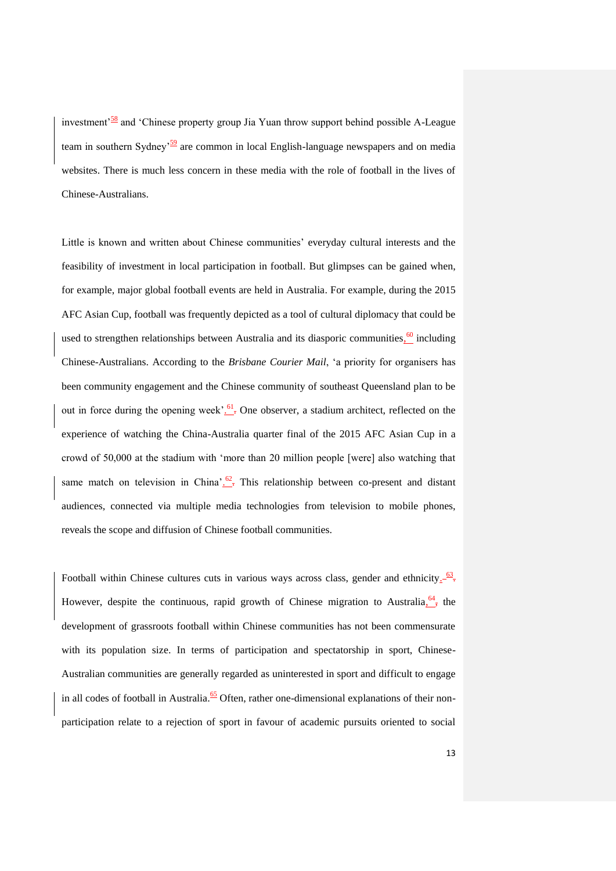investment<sup> $58$ </sup> and 'Chinese property group Jia Yuan throw support behind possible A-League team in southern Sydney'<sup>59</sup> are common in local English-language newspapers and on media websites. There is much less concern in these media with the role of football in the lives of Chinese-Australians.

Little is known and written about Chinese communities' everyday cultural interests and the feasibility of investment in local participation in football. But glimpses can be gained when, for example, major global football events are held in Australia. For example, during the 2015 AFC Asian Cup, football was frequently depicted as a tool of cultural diplomacy that could be used to strengthen relationships between Australia and its diasporic communities, $\frac{60}{1}$  including Chinese-Australians. According to the *Brisbane Courier Mail*, 'a priority for organisers has been community engagement and the Chinese community of southeast Queensland plan to be out in force during the opening week'.<sup>61</sup> One observer, a stadium architect, reflected on the experience of watching the China-Australia quarter final of the 2015 AFC Asian Cup in a crowd of 50,000 at the stadium with 'more than 20 million people [were] also watching that same match on television in China'.<sup>62</sup>. This relationship between co-present and distant audiences, connected via multiple media technologies from television to mobile phones, reveals the scope and diffusion of Chinese football communities.

Football within Chinese cultures cuts in various ways across class, gender and ethnicity $\frac{63}{5}$ . However, despite the continuous, rapid growth of Chinese migration to Australia,  $\frac{64}{17}$ , the development of grassroots football within Chinese communities has not been commensurate with its population size. In terms of participation and spectatorship in sport, Chinese-Australian communities are generally regarded as uninterested in sport and difficult to engage in all codes of football in Australia.<sup>65</sup> Often, rather one-dimensional explanations of their nonparticipation relate to a rejection of sport in favour of academic pursuits oriented to social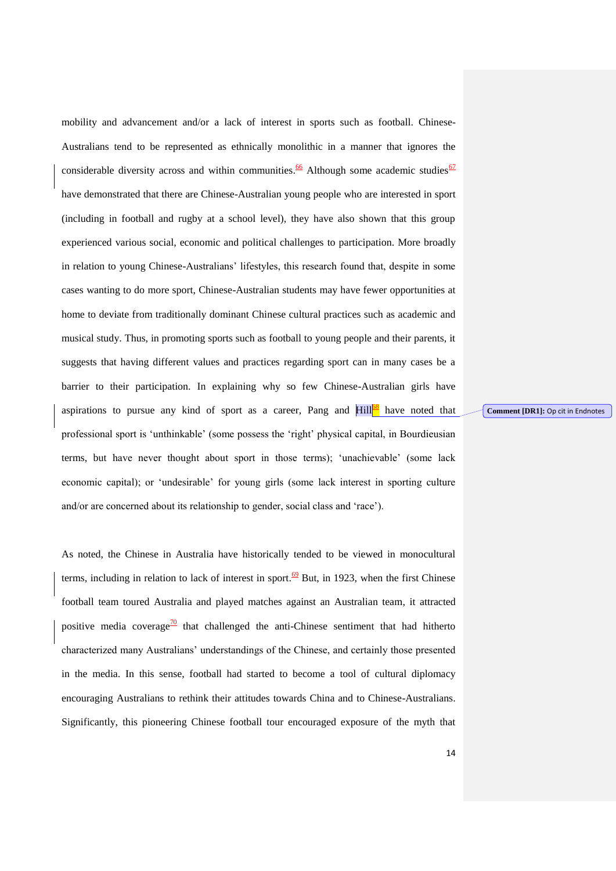mobility and advancement and/or a lack of interest in sports such as football. Chinese-Australians tend to be represented as ethnically monolithic in a manner that ignores the considerable diversity across and within communities.<sup>66</sup> Although some academic studies<sup>67</sup> have demonstrated that there are Chinese-Australian young people who are interested in sport (including in football and rugby at a school level), they have also shown that this group experienced various social, economic and political challenges to participation. More broadly in relation to young Chinese-Australians' lifestyles, this research found that, despite in some cases wanting to do more sport, Chinese-Australian students may have fewer opportunities at home to deviate from traditionally dominant Chinese cultural practices such as academic and musical study. Thus, in promoting sports such as football to young people and their parents, it suggests that having different values and practices regarding sport can in many cases be a barrier to their participation. In explaining why so few Chinese-Australian girls have aspirations to pursue any kind of sport as a career, Pang and  $\text{Hill}^{\text{DS}}$  have noted that professional sport is 'unthinkable' (some possess the 'right' physical capital, in Bourdieusian terms, but have never thought about sport in those terms); 'unachievable' (some lack economic capital); or 'undesirable' for young girls (some lack interest in sporting culture and/or are concerned about its relationship to gender, social class and 'race').

As noted, the Chinese in Australia have historically tended to be viewed in monocultural terms, including in relation to lack of interest in sport.<sup>69</sup> But, in 1923, when the first Chinese football team toured Australia and played matches against an Australian team, it attracted positive media coverage<sup>70</sup> that challenged the anti-Chinese sentiment that had hitherto characterized many Australians' understandings of the Chinese, and certainly those presented in the media. In this sense, football had started to become a tool of cultural diplomacy encouraging Australians to rethink their attitudes towards China and to Chinese-Australians. Significantly, this pioneering Chinese football tour encouraged exposure of the myth that **Comment [DR1]:** Op cit in Endnotes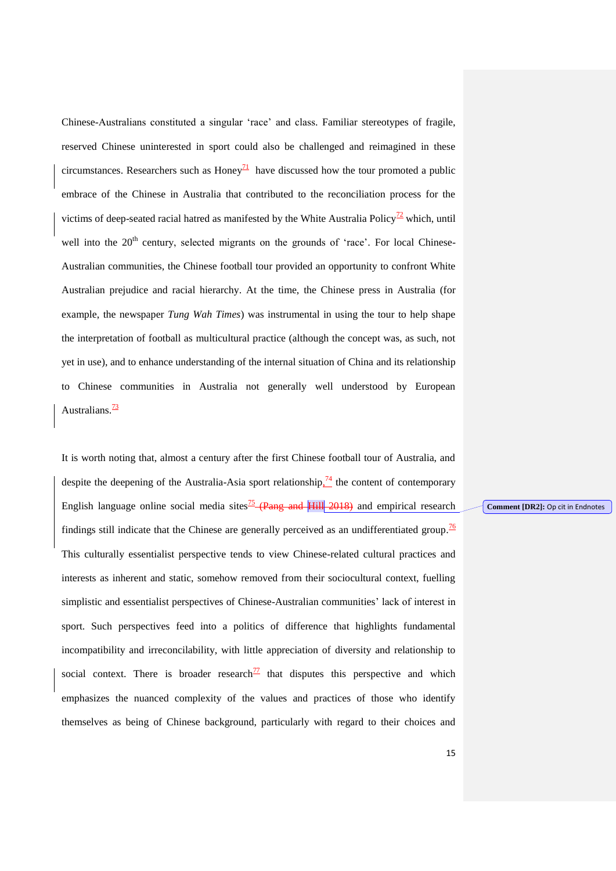Chinese-Australians constituted a singular 'race' and class. Familiar stereotypes of fragile, reserved Chinese uninterested in sport could also be challenged and reimagined in these circumstances. Researchers such as Honey<sup>71</sup> have discussed how the tour promoted a public embrace of the Chinese in Australia that contributed to the reconciliation process for the victims of deep-seated racial hatred as manifested by the White Australia Policy<sup>72</sup> which, until well into the  $20<sup>th</sup>$  century, selected migrants on the grounds of 'race'. For local Chinese-Australian communities, the Chinese football tour provided an opportunity to confront White Australian prejudice and racial hierarchy. At the time, the Chinese press in Australia (for example, the newspaper *Tung Wah Times*) was instrumental in using the tour to help shape the interpretation of football as multicultural practice (although the concept was, as such, not yet in use), and to enhance understanding of the internal situation of China and its relationship to Chinese communities in Australia not generally well understood by European Australians. $\frac{73}{2}$ 

It is worth noting that, almost a century after the first Chinese football tour of Australia, and despite the deepening of the Australia-Asia sport relationship $\frac{74}{1}$  the content of contemporary English language online social media sites<sup>75</sup> (Pang and Hill 2018) and empirical research findings still indicate that the Chinese are generally perceived as an undifferentiated group.<sup>76</sup> This culturally essentialist perspective tends to view Chinese-related cultural practices and interests as inherent and static, somehow removed from their sociocultural context, fuelling simplistic and essentialist perspectives of Chinese-Australian communities' lack of interest in sport. Such perspectives feed into a politics of difference that highlights fundamental incompatibility and irreconcilability, with little appreciation of diversity and relationship to social context. There is broader research<sup> $77$ </sup> that disputes this perspective and which emphasizes the nuanced complexity of the values and practices of those who identify themselves as being of Chinese background, particularly with regard to their choices and

**Comment [DR2]:** Op cit in Endnotes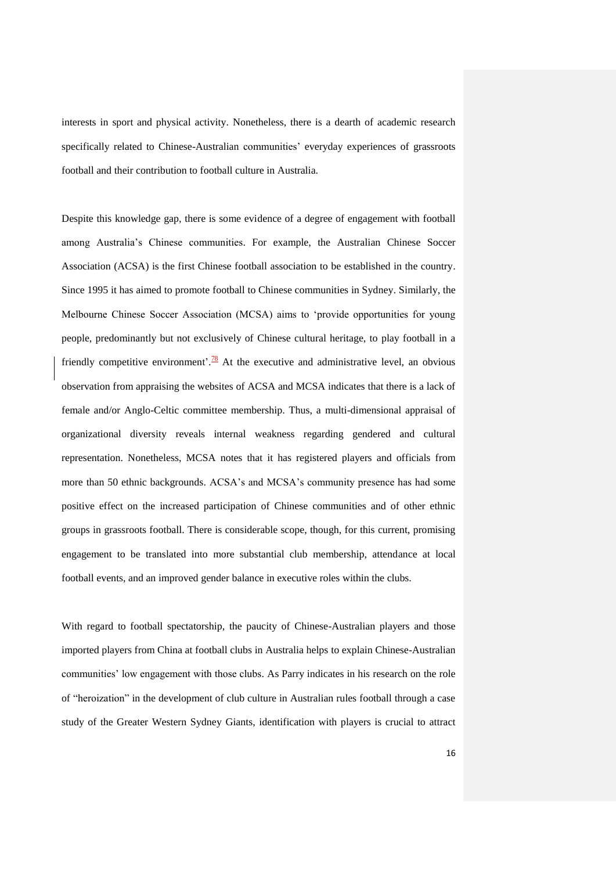interests in sport and physical activity. Nonetheless, there is a dearth of academic research specifically related to Chinese-Australian communities' everyday experiences of grassroots football and their contribution to football culture in Australia.

Despite this knowledge gap, there is some evidence of a degree of engagement with football among Australia's Chinese communities. For example, the Australian Chinese Soccer Association (ACSA) is the first Chinese football association to be established in the country. Since 1995 it has aimed to promote football to Chinese communities in Sydney. Similarly, the Melbourne Chinese Soccer Association (MCSA) aims to 'provide opportunities for young people, predominantly but not exclusively of Chinese cultural heritage, to play football in a friendly competitive environment'.<sup>78</sup> At the executive and administrative level, an obvious observation from appraising the websites of ACSA and MCSA indicates that there is a lack of female and/or Anglo-Celtic committee membership. Thus, a multi-dimensional appraisal of organizational diversity reveals internal weakness regarding gendered and cultural representation. Nonetheless, MCSA notes that it has registered players and officials from more than 50 ethnic backgrounds. ACSA's and MCSA's community presence has had some positive effect on the increased participation of Chinese communities and of other ethnic groups in grassroots football. There is considerable scope, though, for this current, promising engagement to be translated into more substantial club membership, attendance at local football events, and an improved gender balance in executive roles within the clubs.

With regard to football spectatorship, the paucity of Chinese-Australian players and those imported players from China at football clubs in Australia helps to explain Chinese-Australian communities' low engagement with those clubs. As Parry indicates in his research on the role of "heroization" in the development of club culture in Australian rules football through a case study of the Greater Western Sydney Giants, identification with players is crucial to attract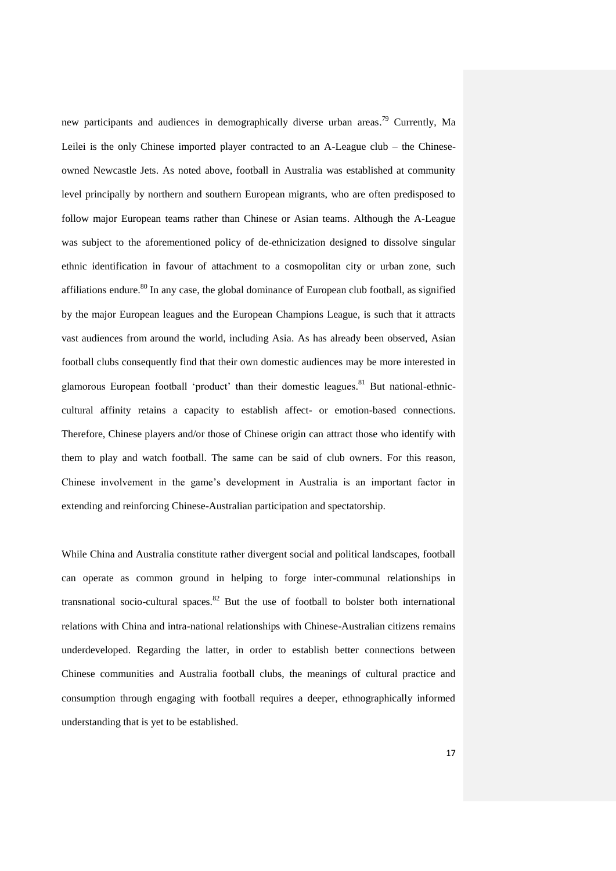new participants and audiences in demographically diverse urban areas.<sup>79</sup> Currently, Ma Leilei is the only Chinese imported player contracted to an A-League club – the Chineseowned Newcastle Jets. As noted above, football in Australia was established at community level principally by northern and southern European migrants, who are often predisposed to follow major European teams rather than Chinese or Asian teams. Although the A-League was subject to the aforementioned policy of de-ethnicization designed to dissolve singular ethnic identification in favour of attachment to a cosmopolitan city or urban zone, such affiliations endure.<sup>80</sup> In any case, the global dominance of European club football, as signified by the major European leagues and the European Champions League, is such that it attracts vast audiences from around the world, including Asia. As has already been observed, Asian football clubs consequently find that their own domestic audiences may be more interested in glamorous European football 'product' than their domestic leagues.<sup>81</sup> But national-ethniccultural affinity retains a capacity to establish affect- or emotion-based connections. Therefore, Chinese players and/or those of Chinese origin can attract those who identify with them to play and watch football. The same can be said of club owners. For this reason, Chinese involvement in the game's development in Australia is an important factor in extending and reinforcing Chinese-Australian participation and spectatorship.

While China and Australia constitute rather divergent social and political landscapes, football can operate as common ground in helping to forge inter-communal relationships in transnational socio-cultural spaces.<sup>82</sup> But the use of football to bolster both international relations with China and intra-national relationships with Chinese-Australian citizens remains underdeveloped. Regarding the latter, in order to establish better connections between Chinese communities and Australia football clubs, the meanings of cultural practice and consumption through engaging with football requires a deeper, ethnographically informed understanding that is yet to be established.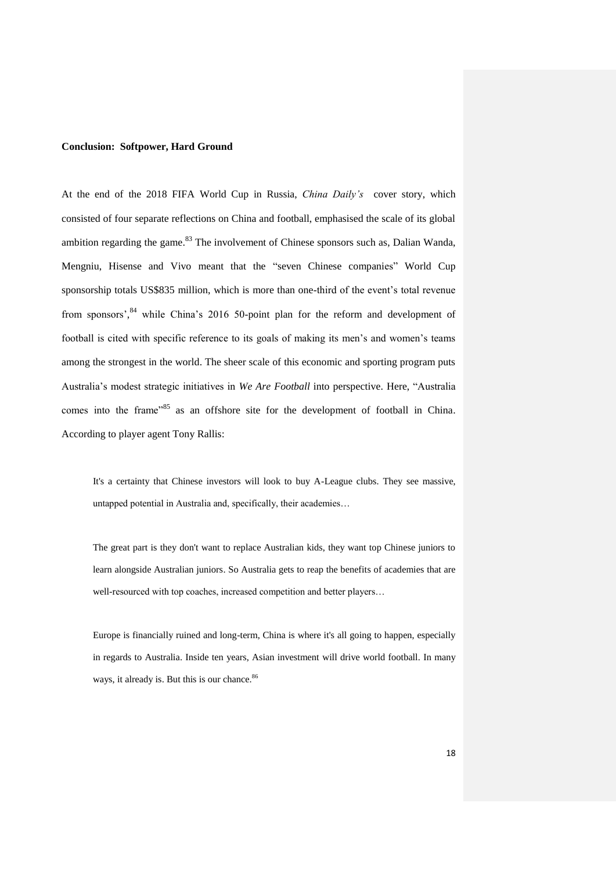## **Conclusion: Softpower, Hard Ground**

At the end of the 2018 FIFA World Cup in Russia, *China Daily's* cover story, which consisted of four separate reflections on China and football, emphasised the scale of its global ambition regarding the game.<sup>83</sup> The involvement of Chinese sponsors such as, Dalian Wanda, Mengniu, Hisense and Vivo meant that the "seven Chinese companies" World Cup sponsorship totals US\$835 million, which is more than one-third of the event's total revenue from sponsors',<sup>84</sup> while China's 2016 50-point plan for the reform and development of football is cited with specific reference to its goals of making its men's and women's teams among the strongest in the world. The sheer scale of this economic and sporting program puts Australia's modest strategic initiatives in *We Are Football* into perspective. Here, "Australia comes into the frame<sup>785</sup> as an offshore site for the development of football in China. According to player agent Tony Rallis:

It's a certainty that Chinese investors will look to buy A-League clubs. They see massive, untapped potential in Australia and, specifically, their academies…

The great part is they don't want to replace Australian kids, they want top Chinese juniors to learn alongside Australian juniors. So Australia gets to reap the benefits of academies that are well-resourced with top coaches, increased competition and better players…

Europe is financially ruined and long-term, China is where it's all going to happen, especially in regards to Australia. Inside ten years, Asian investment will drive world football. In many ways, it already is. But this is our chance.<sup>86</sup>

18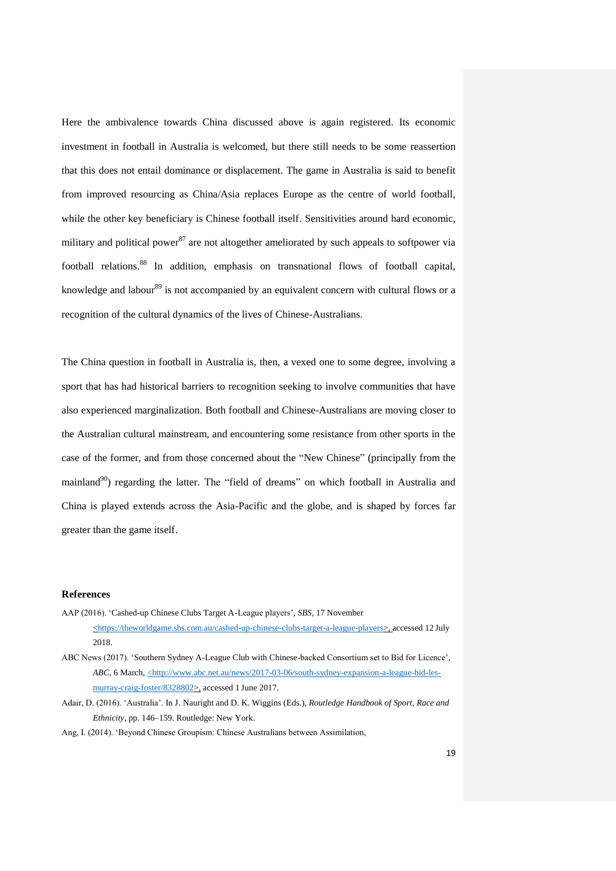Here the ambivalence towards China discussed above is again registered. Its economic investment in football in Australia is welcomed, but there still needs to be some reassertion that this does not entail dominance or displacement. The game in Australia is said to benefit from improved resourcing as China/Asia replaces Europe as the centre of world football, while the other key beneficiary is Chinese football itself. Sensitivities around hard economic, military and political power<sup>87</sup> are not altogether ameliorated by such appeals to softpower via football relations. <sup>88</sup> In addition, emphasis on transnational flows of football capital, knowledge and labour<sup>89</sup> is not accompanied by an equivalent concern with cultural flows or a recognition of the cultural dynamics of the lives of Chinese-Australians.

The China question in football in Australia is, then, a vexed one to some degree, involving a sport that has had historical barriers to recognition seeking to involve communities that have also experienced marginalization. Both football and Chinese-Australians are moving closer to the Australian cultural mainstream, and encountering some resistance from other sports in the case of the former, and from those concerned about the "New Chinese" (principally from the mainland<sup>90</sup>) regarding the latter. The "field of dreams" on which football in Australia and China is played extends across the Asia-Pacific and the globe, and is shaped by forces far greater than the game itself.

#### **References**

- AAP (2016). 'Cashed-up Chinese Clubs Target A-League players', *SBS*, 17 November [<https://theworldgame.sbs.com.au/cashed-up-chinese-clubs-target-a-league-players>](https://theworldgame.sbs.com.au/cashed-up-chinese-clubs-target-a-league-players), accessed 12 July 2018.
- ABC News (2017). 'Southern Sydney A-League Club with Chinese-backed Consortium set to Bid for Licence', *ABC*, 6 March,  $\leq$ http://www.abc.net.au/news/2017-03-06/south-sydney-expansion-a-league-bid-les[murray-craig-foster/8328802>](http://www.abc.net.au/news/2017-03-06/south-sydney-expansion-a-league-bid-les-murray-craig-foster/8328802), accessed 1 June 2017.
- Adair, D. (2016). 'Australia'. In J. Nauright and D. K. Wiggins (Eds.), *Routledge Handbook of Sport, Race and Ethnicity,* pp. 146–159. Routledge: New York.
- Ang, I. (2014). 'Beyond Chinese Groupism: Chinese Australians between Assimilation,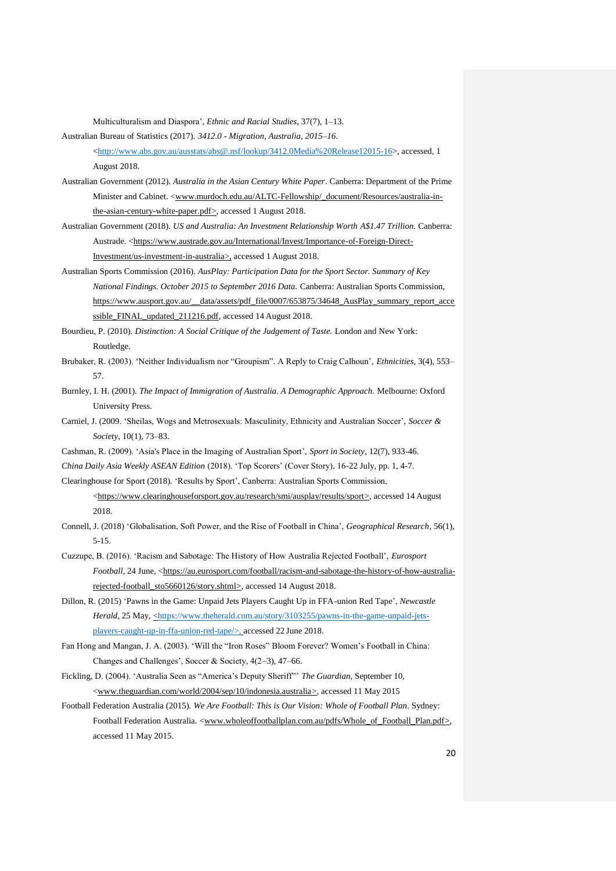Multiculturalism and Diaspora', *Ethnic and Racial Studies*, 37(7), 1–13.

Australian Bureau of Statistics (2017). *3412.0 - Migration, Australia, 2015–16*.

[<http://www.abs.gov.au/ausstats/abs@.nsf/lookup/3412.0Media%20Release12015-16>](http://www.abs.gov.au/ausstats/abs@.nsf/lookup/3412.0Media%20Release12015-16), accessed, 1 August 2018.

- Australian Government (2012). *Australia in the Asian Century White Paper*. Canberra: Department of the Prime Minister and Cabinet. <<u>www.murdoch.edu.au/ALTC-Fellowship/\_document/Resources/australia-in-</u> [the-asian-century-white-paper.pdf>](http://www.murdoch.edu.au/ALTC-Fellowship/_document/Resources/australia-in-the-asian-century-white-paper.pdf), accessed 1 August 2018.
- Australian Government (2018). *US and Australia: An Investment Relationship Worth A\$1.47 Trillion.* Canberra: Austrade. [<https://www.austrade.gov.au/International/Invest/Importance-of-Foreign-Direct-](https://www.austrade.gov.au/International/Invest/Importance-of-Foreign-Direct-Investment/us-investment-in-australia)[Investment/us-investment-in-australia>](https://www.austrade.gov.au/International/Invest/Importance-of-Foreign-Direct-Investment/us-investment-in-australia), accessed 1 August 2018.
- Australian Sports Commission (2016). *AusPlay: Participation Data for the Sport Sector. Summary of Key National Findings. October 2015 to September 2016 Data.* Canberra: Australian Sports Commission, [https://www.ausport.gov.au/\\_\\_data/assets/pdf\\_file/0007/653875/34648\\_AusPlay\\_summary\\_report\\_acce](https://www.ausport.gov.au/__data/assets/pdf_file/0007/653875/34648_AusPlay_summary_report_accessible_FINAL_updated_211216.pdf) [ssible\\_FINAL\\_updated\\_211216.pdf,](https://www.ausport.gov.au/__data/assets/pdf_file/0007/653875/34648_AusPlay_summary_report_accessible_FINAL_updated_211216.pdf) accessed 14 August 2018.

Bourdieu, P. (2010). *Distinction: A Social Critique of the Judgement of Taste.* London and New York: Routledge.

- Brubaker, R. (2003). 'Neither Individualism nor "Groupism". A Reply to Craig Calhoun', *Ethnicities*, 3(4), 553– 57.
- Burnley, I. H. (2001). *The Impact of Immigration of Australia. A Demographic Approach.* Melbourne: Oxford University Press.
- Carniel, J. (2009. 'Sheilas, Wogs and Metrosexuals: Masculinity, Ethnicity and Australian Soccer', *Soccer & Society*, 10(1), 73–83.
- Cashman, R. (2009). 'Asia's Place in the Imaging of Australian Sport', *Sport in Society*, 12(7), 933-46.
- *China Daily Asia Weekly ASEAN Edition* (2018). 'Top Scorers' (Cover Story), 16-22 July, pp. 1, 4-7.

Clearinghouse for Sport (2018). 'Results by Sport', Canberra: Australian Sports Commission, [<https://www.clearinghouseforsport.gov.au/research/smi/ausplay/results/sport>](https://www.clearinghouseforsport.gov.au/research/smi/ausplay/results/sport), accessed 14 August

# 2018.

Connell, J. (2018) 'Globalisation, Soft Power, and the Rise of Football in China', *Geographical Research*, 56(1), 5-15.

- Cuzzupe, B. (2016). 'Racism and Sabotage: The History of How Australia Rejected Football', *Eurosport Football*, 24 June, [<https://au.eurosport.com/football/racism-and-sabotage-the-history-of-how-australia](https://au.eurosport.com/football/racism-and-sabotage-the-history-of-how-australia-rejected-football_sto5660126/story.shtml)[rejected-football\\_sto5660126/story.shtml>](https://au.eurosport.com/football/racism-and-sabotage-the-history-of-how-australia-rejected-football_sto5660126/story.shtml), accessed 14 August 2018.
- Dillon, R. (2015) 'Pawns in the Game: Unpaid Jets Players Caught Up in FFA-union Red Tape', *Newcastle Herald*, 25 May, [<https://www.theherald.com.au/story/3103255/pawns-in-the-game-unpaid-jets](https://www.theherald.com.au/story/3103255/pawns-in-the-game-unpaid-jets-players-caught-up-in-ffa-union-red-tape/%3e,)[players-caught-up-in-ffa-union-red-tape/>,](https://www.theherald.com.au/story/3103255/pawns-in-the-game-unpaid-jets-players-caught-up-in-ffa-union-red-tape/%3e,) accessed 22 June 2018.
- Fan Hong and Mangan, J. A. (2003). 'Will the "Iron Roses" Bloom Forever? Women's Football in China: Changes and Challenges', Soccer & Society, 4(2–3), 47–66.
- Fickling, D. (2004). 'Australia Seen as "America's Deputy Sheriff"' *The Guardian*, September 10, [<www.theguardian.com/world/2004/sep/10/indonesia.australia>](http://www.theguardian.com/world/2004/sep/10/indonesia.australia), accessed 11 May 2015
- Football Federation Australia (2015). *We Are Football: This is Our Vision: Whole of Football Plan*. Sydney: Football Federation Australia. [<www.wholeoffootballplan.com.au/pdfs/Whole\\_of\\_Football\\_Plan.pdf>](http://www.wholeoffootballplan.com.au/pdfs/Whole_of_Football_Plan.pdf), accessed 11 May 2015.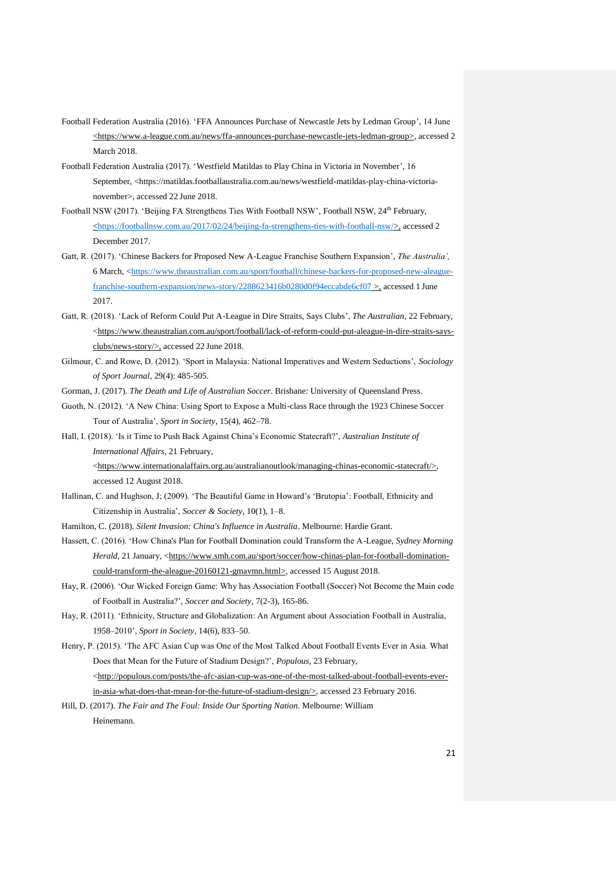- Football Federation Australia (2016). 'FFA Announces Purchase of Newcastle Jets by Ledman Group', 14 June <https://www.a-league.com.au/news/ffa-announces-purchase-newcastle-jets-ledman-group>, accessed 2 March 2018.
- Football Federation Australia (2017). 'Westfield Matildas to Play China in Victoria in November', 16 September, <https://matildas.footballaustralia.com.au/news/westfield-matildas-play-china-victorianovember>, accessed 22 June 2018.
- Football NSW (2017). 'Beijing FA Strengthens Ties With Football NSW', Football NSW, 24<sup>th</sup> February,  $\langle$ https://footballnsw.com.au/2017/02/24/beijing-fa-strengthens-ties-with-football-nsw/>, accessed 2 December 2017.
- Gatt, R. (2017). 'Chinese Backers for Proposed New A-League Franchise Southern Expansion', *The Australia',* 6 March, [<https://www.theaustralian.com.au/sport/football/chinese-backers-for-proposed-new-aleague](https://www.theaustralian.com.au/sport/football/chinese-backers-for-proposed-new-aleague-franchise-southern-expansion/news-story/2288623416b0280d0f94eccabde6cf07)[franchise-southern-expansion/news-story/2288623416b0280d0f94eccabde6cf07](https://www.theaustralian.com.au/sport/football/chinese-backers-for-proposed-new-aleague-franchise-southern-expansion/news-story/2288623416b0280d0f94eccabde6cf07) >, accessed 1 June 2017.
- Gatt, R. (2018). 'Lack of Reform Could Put A-League in Dire Straits, Says Clubs', *The Australian*, 22 February,  $\langle$ https://www.theaustralian.com.au/sport/football/lack-of-reform-could-put-aleague-in-dire-straits-says[clubs/news-story/>](https://www.theaustralian.com.au/sport/football/lack-of-reform-could-put-aleague-in-dire-straits-says-clubs/news-story/), accessed 22 June 2018.
- Gilmour, C. and Rowe, D. (2012). 'Sport in Malaysia: National Imperatives and Western Seductions', *Sociology of Sport Journal*, 29(4): 485-505.
- Gorman, J. (2017). *The Death and Life of Australian Soccer*. Brisbane: University of Queensland Press.
- Guoth, N. (2012). 'A New China: Using Sport to Expose a Multi-class Race through the 1923 Chinese Soccer Tour of Australia', *Sport in Society*, 15(4), 462–78.
- Hall, I. (2018). 'Is it Time to Push Back Against China's Economic Statecraft?', *Australian Institute of International Affairs*, 21 February,

[<https://www.internationalaffairs.org.au/australianoutlook/managing-chinas-economic-statecraft/>](https://www.internationalaffairs.org.au/australianoutlook/managing-chinas-economic-statecraft/), accessed 12 August 2018.

- Hallinan, C. and Hughson, J; (2009). 'The Beautiful Game in Howard's 'Brutopia': Football, Ethnicity and Citizenship in Australia', *Soccer & Society*, 10(1), 1–8.
- Hamilton, C. (2018). *Silent Invasion: China's Influence in Australia*. Melbourne: Hardie Grant.
- Hassett, C. (2016). 'How China's Plan for Football Domination could Transform the A-League, *Sydney Morning Herald*, 21 January, [<https://www.smh.com.au/sport/soccer/how-chinas-plan-for-football-domination](https://www.smh.com.au/sport/soccer/how-chinas-plan-for-football-domination-could-transform-the-aleague-20160121-gmavmn.html)[could-transform-the-aleague-20160121-gmavmn.html>](https://www.smh.com.au/sport/soccer/how-chinas-plan-for-football-domination-could-transform-the-aleague-20160121-gmavmn.html), accessed 15 August 2018.
- Hay, R. (2006). 'Our Wicked Foreign Game: Why has Association Football (Soccer) Not Become the Main code of Football in Australia?', *Soccer and Society*, 7(2-3), 165-86.
- Hay, R. (2011). 'Ethnicity, Structure and Globalization: An Argument about Association Football in Australia, 1958–2010', *Sport in Society*, 14(6), 833–50.
- Henry, P. (2015). 'The AFC Asian Cup was One of the Most Talked About Football Events Ever in Asia. What Does that Mean for the Future of Stadium Design?', *Populous*, 23 February, [<http://populous.com/posts/the-afc-asian-cup-was-one-of-the-most-talked-about-football-events-ever](http://populous.com/posts/the-afc-asian-cup-was-one-of-the-most-talked-about-football-events-ever-in-asia-what-does-that-mean-for-the-future-of-stadium-design/)[in-asia-what-does-that-mean-for-the-future-of-stadium-design/>](http://populous.com/posts/the-afc-asian-cup-was-one-of-the-most-talked-about-football-events-ever-in-asia-what-does-that-mean-for-the-future-of-stadium-design/), accessed 23 February 2016.
- Hill, D. (2017). *The Fair and The Foul: Inside Our Sporting Nation*. Melbourne: William Heinemann.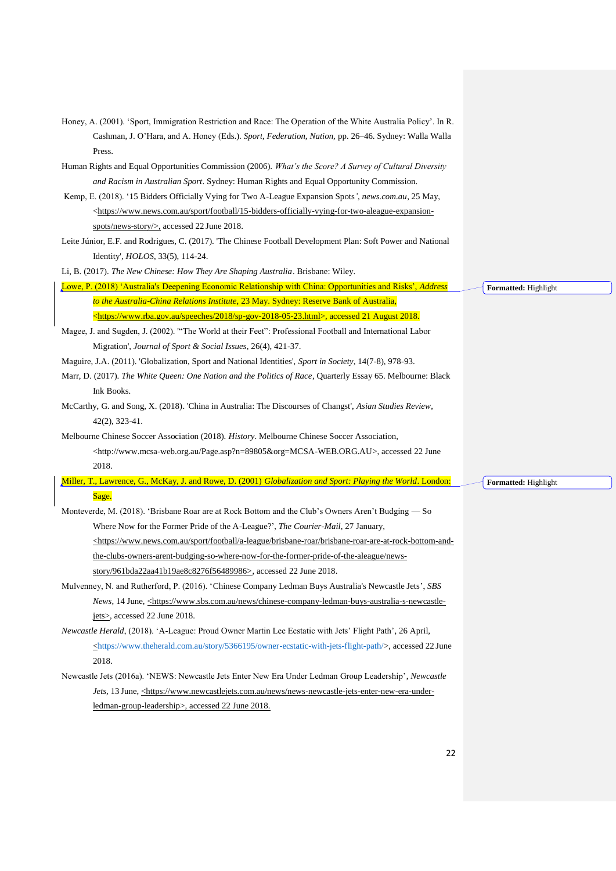| Honey, A. (2001). 'Sport, Immigration Restriction and Race: The Operation of the White Australia Policy'. In R.                                 |                      |
|-------------------------------------------------------------------------------------------------------------------------------------------------|----------------------|
| Cashman, J. O'Hara, and A. Honey (Eds.). Sport, Federation, Nation, pp. 26-46. Sydney: Walla Walla                                              |                      |
| Press.                                                                                                                                          |                      |
| Human Rights and Equal Opportunities Commission (2006). What's the Score? A Survey of Cultural Diversity                                        |                      |
| and Racism in Australian Sport. Sydney: Human Rights and Equal Opportunity Commission.                                                          |                      |
| Kemp, E. (2018). '15 Bidders Officially Vying for Two A-League Expansion Spots', news.com.au, 25 May,                                           |                      |
| <https: 15-bidders-officially-vying-for-two-aleague-expansion-<="" football="" sport="" td="" www.news.com.au=""><td></td></https:>             |                      |
| spots/news-story/ $>$ , accessed 22 June 2018.                                                                                                  |                      |
| Leite Júnior, E.F. and Rodrigues, C. (2017). The Chinese Football Development Plan: Soft Power and National                                     |                      |
| Identity', <i>HOLOS</i> , 33(5), 114-24.                                                                                                        |                      |
| Li, B. (2017). The New Chinese: How They Are Shaping Australia. Brisbane: Wiley.                                                                |                      |
| Lowe, P. (2018) 'Australia's Deepening Economic Relationship with China: Opportunities and Risks', Address                                      | Formatted: Highlight |
| to the Australia-China Relations Institute, 23 May. Sydney: Reserve Bank of Australia,                                                          |                      |
| <https: 2018="" sp-gov-2018-05-23.html="" speeches="" www.rba.gov.au="">, accessed 21 August 2018.</https:>                                     |                      |
| Magee, J. and Sugden, J. (2002). "The World at their Feet": Professional Football and International Labor                                       |                      |
| Migration', Journal of Sport & Social Issues, 26(4), 421-37.                                                                                    |                      |
| Maguire, J.A. (2011). 'Globalization, Sport and National Identities', Sport in Society, 14(7-8), 978-93.                                        |                      |
| Marr, D. (2017). The White Queen: One Nation and the Politics of Race, Quarterly Essay 65. Melbourne: Black                                     |                      |
| Ink Books.                                                                                                                                      |                      |
| McCarthy, G. and Song, X. (2018). 'China in Australia: The Discourses of Changst', Asian Studies Review,                                        |                      |
| $42(2), 323-41.$                                                                                                                                |                      |
| Melbourne Chinese Soccer Association (2018). History. Melbourne Chinese Soccer Association,                                                     |                      |
| <http: page.asp?n="89805&amp;org=MCSA-WEB.ORG.AU" www.mcsa-web.org.au="">, accessed 22 June</http:>                                             |                      |
| 2018.                                                                                                                                           |                      |
| Miller, T., Lawrence, G., McKay, J. and Rowe, D. (2001) Globalization and Sport: Playing the World. London:                                     | Formatted: Highlight |
| Sage.                                                                                                                                           |                      |
| Monteverde, M. (2018). 'Brisbane Roar are at Rock Bottom and the Club's Owners Aren't Budging — So                                              |                      |
| Where Now for the Former Pride of the A-League?', The Courier-Mail, 27 January,                                                                 |                      |
| <https: a-league="" brisbane-roar="" brisbane-roar-are-at-rock-bottom-and-<="" football="" sport="" td="" www.news.com.au=""><td></td></https:> |                      |
| the-clubs-owners-arent-budging-so-where-now-for-the-former-pride-of-the-aleague/news-                                                           |                      |
| story/961bda22aa41b19ae8c8276f56489986>, accessed 22 June 2018.                                                                                 |                      |
| Mulvenney, N. and Rutherford, P. (2016). 'Chinese Company Ledman Buys Australia's Newcastle Jets', SBS                                          |                      |
| News, 14 June, <https: chinese-company-ledman-buys-australia-s-newcastle-<="" news="" td="" www.sbs.com.au=""><td></td></https:>                |                      |
| jets>, accessed 22 June 2018.                                                                                                                   |                      |
| Newcastle Herald, (2018). 'A-League: Proud Owner Martin Lee Ecstatic with Jets' Flight Path', 26 April,                                         |                      |
| <https: 5366195="" owner-ecstatic-with-jets-flight-path="" story="" www.theherald.com.au=""></https:> , accessed 22 June                        |                      |
| 2018.                                                                                                                                           |                      |
| Newcastle Jets (2016a). 'NEWS: Newcastle Jets Enter New Era Under Ledman Group Leadership', Newcastle                                           |                      |
| Jets, 13 June, <https: news="" news-newcastle-jets-enter-new-era-under-<="" td="" www.newcastlejets.com.au=""><td></td></https:>                |                      |
| ledman-group-leadership>, accessed 22 June 2018.                                                                                                |                      |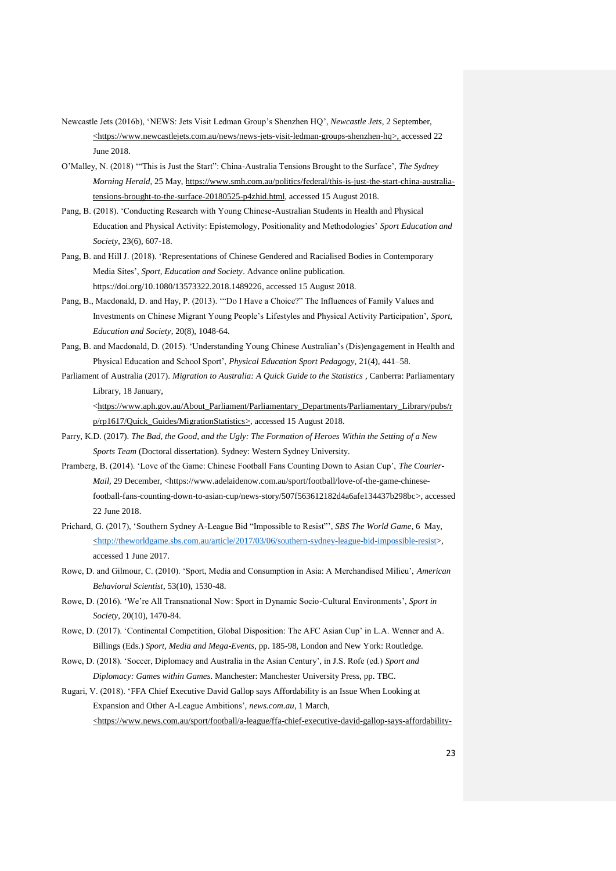- Newcastle Jets (2016b), 'NEWS: Jets Visit Ledman Group's Shenzhen HQ', *Newcastle Jets*, 2 September, <https://www.newcastlejets.com.au/news/news-jets-visit-ledman-groups-shenzhen-hq>, accessed 22 June 2018.
- O'Malley, N. (2018) '"This is Just the Start": China-Australia Tensions Brought to the Surface', *The Sydney Morning Herald*, 25 May[, https://www.smh.com.au/politics/federal/this-is-just-the-start-china-australia](https://www.smh.com.au/politics/federal/this-is-just-the-start-china-australia-tensions-brought-to-the-surface-20180525-p4zhid.html)[tensions-brought-to-the-surface-20180525-p4zhid.html,](https://www.smh.com.au/politics/federal/this-is-just-the-start-china-australia-tensions-brought-to-the-surface-20180525-p4zhid.html) accessed 15 August 2018.
- Pang, B. (2018). 'Conducting Research with Young Chinese-Australian Students in Health and Physical Education and Physical Activity: Epistemology, Positionality and Methodologies' *Sport Education and Society*, 23(6), 607-18.
- Pang, B. and Hill J. (2018). 'Representations of Chinese Gendered and Racialised Bodies in Contemporary Media Sites', *Sport, Education and Society*. Advance online publication*.*  [https://doi.org/10.1080/13573322.2018.1489226,](https://doi.org/10.1080/13573322.2018.1489226) accessed 15 August 2018.
- Pang, B., Macdonald, D. and Hay, P. (2013). '"Do I Have a Choice?" The Influences of Family Values and Investments on Chinese Migrant Young People's Lifestyles and Physical Activity Participation', *Sport, Education and Society*, 20(8), 1048-64.
- Pang, B. and Macdonald, D. (2015). 'Understanding Young Chinese Australian's (Dis)engagement in Health and Physical Education and School Sport', *Physical Education Sport Pedagogy,* 21(4), 441–58.
- Parliament of Australia (2017). *Migration to Australia: A Quick Guide to the Statistics* , Canberra: Parliamentary Library, 18 January,

[<https://www.aph.gov.au/About\\_Parliament/Parliamentary\\_Departments/Parliamentary\\_Library/pubs/r](https://www.aph.gov.au/About_Parliament/Parliamentary_Departments/Parliamentary_Library/pubs/rp/rp1617/Quick_Guides/MigrationStatistics) [p/rp1617/Quick\\_Guides/MigrationStatistics>](https://www.aph.gov.au/About_Parliament/Parliamentary_Departments/Parliamentary_Library/pubs/rp/rp1617/Quick_Guides/MigrationStatistics), accessed 15 August 2018.

- Parry, K.D. (2017). *The Bad, the Good, and the Ugly: The Formation of Heroes Within the Setting of a New Sports Team* (Doctoral dissertation). Sydney: Western Sydney University.
- Pramberg, B. (2014). 'Love of the Game: Chinese Football Fans Counting Down to Asian Cup', *The Courier-Mail*, 29 December, [<https://www.adelaidenow.com.au/sport/football/love-of-the-game-chinese](https://www.adelaidenow.com.au/sport/football/love-of-the-game-chinese-football-fans-counting-down-to-asian-cup/news-story/507f563612182d4a6afe134437b298bc)[football-fans-counting-down-to-asian-cup/news-story/507f563612182d4a6afe134437b298bc>](https://www.adelaidenow.com.au/sport/football/love-of-the-game-chinese-football-fans-counting-down-to-asian-cup/news-story/507f563612182d4a6afe134437b298bc), accessed 22 June 2018.
- Prichard, G. (2017), 'Southern Sydney A-League Bid "Impossible to Resist"', *SBS The World Game*, 6 May, [<http://theworldgame.sbs.com.au/article/2017/03/06/southern-sydney-league-bid-impossible-resist>](http://theworldgame.sbs.com.au/article/2017/03/06/southern-sydney-league-bid-impossible-resist), accessed 1 June 2017.
- Rowe, D. and Gilmour, C. (2010). 'Sport, Media and Consumption in Asia: A Merchandised Milieu', *American Behavioral Scientist*, 53(10), 1530-48.
- Rowe, D. (2016). 'We're All Transnational Now: Sport in Dynamic Socio-Cultural Environments', *Sport in Society*, 20(10), 1470-84.
- Rowe, D. (2017). 'Continental Competition, Global Disposition: The AFC Asian Cup' in L.A. Wenner and A. Billings (Eds.) *Sport, Media and Mega-Events*, pp. 185-98, London and New York: Routledge.
- Rowe, D. (2018). 'Soccer, Diplomacy and Australia in the Asian Century', in J.S. Rofe (ed.) *Sport and Diplomacy: Games within Games*. Manchester: Manchester University Press, pp. TBC.
- Rugari, V. (2018). 'FFA Chief Executive David Gallop says Affordability is an Issue When Looking at Expansion and Other A-League Ambitions', *news.com.au*, 1 March, <https://www.news.com.au/sport/football/a-league/ffa-chief-executive-david-gallop-says-affordability-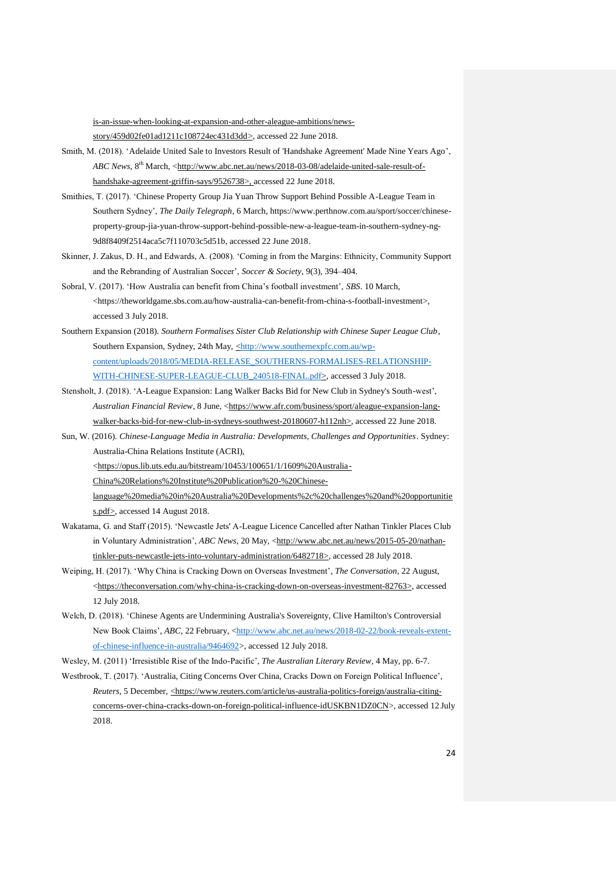is-an-issue-when-looking-at-expansion-and-other-aleague-ambitions/news-

story/459d02fe01ad1211c108724ec431d3dd>, accessed 22 June 2018.

- Smith, M. (2018). 'Adelaide United Sale to Investors Result of 'Handshake Agreement' Made Nine Years Ago', *ABC News,* 8<sup>th</sup> March, [<http://www.abc.net.au/news/2018-03-08/adelaide-united-sale-result-of](http://www.abc.net.au/news/2018-03-08/adelaide-united-sale-result-of-handshake-agreement-griffin-says/9526738)[handshake-agreement-griffin-says/9526738>](http://www.abc.net.au/news/2018-03-08/adelaide-united-sale-result-of-handshake-agreement-griffin-says/9526738), accessed 22 June 2018.
- Smithies, T. (2017). 'Chinese Property Group Jia Yuan Throw Support Behind Possible A-League Team in Southern Sydney', *The Daily Telegraph*, 6 March[, https://www.perthnow.com.au/sport/soccer/chinese](https://www.perthnow.com.au/sport/soccer/chinese-property-group-jia-yuan-throw-support-behind-possible-new-a-league-team-in-southern-sydney-ng-9d8f8409f2514aca5c7f110703c5d51b)[property-group-jia-yuan-throw-support-behind-possible-new-a-league-team-in-southern-sydney-ng-](https://www.perthnow.com.au/sport/soccer/chinese-property-group-jia-yuan-throw-support-behind-possible-new-a-league-team-in-southern-sydney-ng-9d8f8409f2514aca5c7f110703c5d51b)[9d8f8409f2514aca5c7f110703c5d51b,](https://www.perthnow.com.au/sport/soccer/chinese-property-group-jia-yuan-throw-support-behind-possible-new-a-league-team-in-southern-sydney-ng-9d8f8409f2514aca5c7f110703c5d51b) accessed 22 June 2018.
- Skinner, J. Zakus, D. H., and Edwards, A. (2008). 'Coming in from the Margins: Ethnicity, Community Support and the Rebranding of Australian Soccer', *Soccer & Society*, 9(3), 394–404.
- Sobral, V. (2017). 'How Australia can benefit from China's football investment', *SBS*. 10 March, [<https://theworldgame.sbs.com.au/how-australia-can-benefit-from-china-s-football-investment>](https://theworldgame.sbs.com.au/how-australia-can-benefit-from-china-s-football-investment), accessed 3 July 2018.
- Southern Expansion (2018). *Southern Formalises Sister Club Relationship with Chinese Super League Club*, Southern Expansion, Sydney, 24th May, [<http://www.southernexpfc.com.au/wp](http://www.southernexpfc.com.au/wp-content/uploads/2018/05/MEDIA-RELEASE_SOUTHERNS-FORMALISES-RELATIONSHIP-WITH-CHINESE-SUPER-LEAGUE-CLUB_240518-FINAL..pdf)[content/uploads/2018/05/MEDIA-RELEASE\\_SOUTHERNS-FORMALISES-RELATIONSHIP-](http://www.southernexpfc.com.au/wp-content/uploads/2018/05/MEDIA-RELEASE_SOUTHERNS-FORMALISES-RELATIONSHIP-WITH-CHINESE-SUPER-LEAGUE-CLUB_240518-FINAL..pdf)[WITH-CHINESE-SUPER-LEAGUE-CLUB\\_240518-FINAL.pdf>](http://www.southernexpfc.com.au/wp-content/uploads/2018/05/MEDIA-RELEASE_SOUTHERNS-FORMALISES-RELATIONSHIP-WITH-CHINESE-SUPER-LEAGUE-CLUB_240518-FINAL..pdf), accessed 3 July 2018.
- Stensholt, J. (2018). 'A-League Expansion: Lang Walker Backs Bid for New Club in Sydney's South-west', *Australian Financial Review*, 8 June, [<https://www.afr.com/business/sport/aleague-expansion-lang](https://www.afr.com/business/sport/aleague-expansion-lang-walker-backs-bid-for-new-club-in-sydneys-southwest-20180607-h112nh)[walker-backs-bid-for-new-club-in-sydneys-southwest-20180607-h112nh>](https://www.afr.com/business/sport/aleague-expansion-lang-walker-backs-bid-for-new-club-in-sydneys-southwest-20180607-h112nh), accessed 22 June 2018.
- Sun, W. (2016). *Chinese-Language Media in Australia: Developments, Challenges and Opportunities*. Sydney: Australia-China Relations Institute (ACRI),

[<https://opus.lib.uts.edu.au/bitstream/10453/100651/1/1609%20Australia-](https://opus.lib.uts.edu.au/bitstream/10453/100651/1/1609%20Australia-China%20Relations%20Institute%20Publication%20-%20Chinese-language%20media%20in%20Australia%20Developments%2c%20challenges%20and%20opportunities.pdf)

[China%20Relations%20Institute%20Publication%20-%20Chinese-](https://opus.lib.uts.edu.au/bitstream/10453/100651/1/1609%20Australia-China%20Relations%20Institute%20Publication%20-%20Chinese-language%20media%20in%20Australia%20Developments%2c%20challenges%20and%20opportunities.pdf)

- [language%20media%20in%20Australia%20Developments%2c%20challenges%20and%20opportunitie](https://opus.lib.uts.edu.au/bitstream/10453/100651/1/1609%20Australia-China%20Relations%20Institute%20Publication%20-%20Chinese-language%20media%20in%20Australia%20Developments%2c%20challenges%20and%20opportunities.pdf) [s.pdf>](https://opus.lib.uts.edu.au/bitstream/10453/100651/1/1609%20Australia-China%20Relations%20Institute%20Publication%20-%20Chinese-language%20media%20in%20Australia%20Developments%2c%20challenges%20and%20opportunities.pdf), accessed 14 August 2018.
- Wakatama, G. and Staff (2015). 'Newcastle Jets' A-League Licence Cancelled after Nathan Tinkler Places Club in Voluntary Administration', *ABC News*, 20 May, [<http://www.abc.net.au/news/2015-05-20/nathan](http://www.abc.net.au/news/2015-05-20/nathan-tinkler-puts-newcastle-jets-into-voluntary-administration/6482718)[tinkler-puts-newcastle-jets-into-voluntary-administration/6482718>](http://www.abc.net.au/news/2015-05-20/nathan-tinkler-puts-newcastle-jets-into-voluntary-administration/6482718), accessed 28 July 2018.
- Weiping, H. (2017). 'Why China is Cracking Down on Overseas Investment', *The Conversation*, 22 August, [<https://theconversation.com/why-china-is-cracking-down-on-overseas-investment-82763>](https://theconversation.com/why-china-is-cracking-down-on-overseas-investment-82763), accessed 12 July 2018.
- Welch, D. (2018). 'Chinese Agents are Undermining Australia's Sovereignty, Clive Hamilton's Controversial New Book Claims', *ABC,* 22 February, [<http://www.abc.net.au/news/2018-02-22/book-reveals-extent](http://www.abc.net.au/news/2018-02-22/book-reveals-extent-of-chinese-influence-in-australia/9464692)[of-chinese-influence-in-australia/9464692>](http://www.abc.net.au/news/2018-02-22/book-reveals-extent-of-chinese-influence-in-australia/9464692), accessed 12 July 2018.
- Wesley, M. (2011) 'Irresistible Rise of the Indo-Pacific', *The Australian Literary Review*, 4 May, pp. 6-7.
- Westbrook, T. (2017). 'Australia, Citing Concerns Over China, Cracks Down on Foreign Political Influence', *Reuters*, 5 December, [<https://www.reuters.com/article/us-australia-politics-foreign/australia-citing](https://www.reuters.com/article/us-australia-politics-foreign/australia-citing-concerns-over-china-cracks-down-on-foreign-political-influence-idUSKBN1DZ0CN)[concerns-over-china-cracks-down-on-foreign-political-influence-idUSKBN1DZ0CN>](https://www.reuters.com/article/us-australia-politics-foreign/australia-citing-concerns-over-china-cracks-down-on-foreign-political-influence-idUSKBN1DZ0CN), accessed 12 July 2018.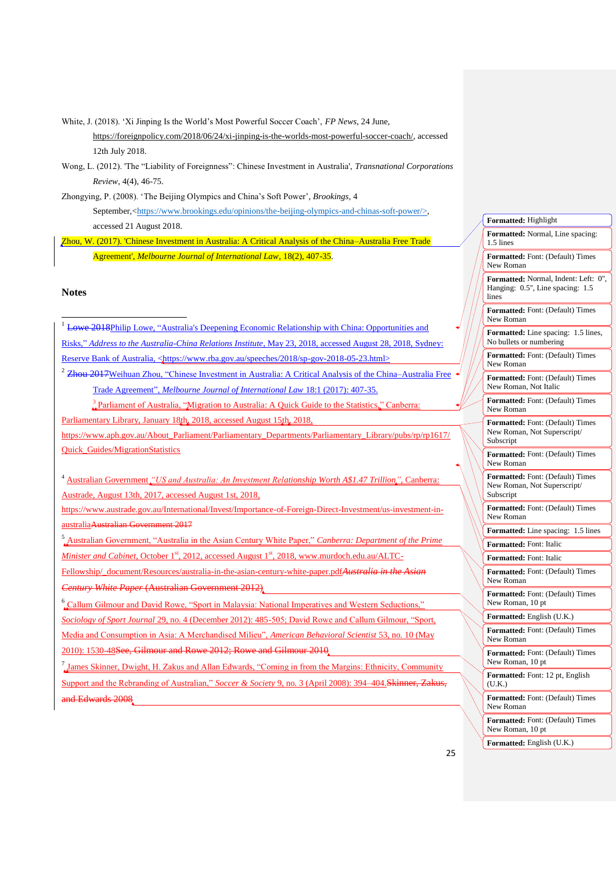White, J. (2018). 'Xi Jinping Is the World's Most Powerful Soccer Coach', *FP News*, 24 June, [https://foreignpolicy.com/2018/06/24/xi-jinping-is-the-worlds-most-powerful-soccer-coach/,](https://foreignpolicy.com/2018/06/24/xi-jinping-is-the-worlds-most-powerful-soccer-coach/) accessed 12th July 2018.

Wong, L. (2012). 'The "Liability of Foreignness": Chinese Investment in Australia', *Transnational Corporations Review*, 4(4), 46-75.

Zhongying, P. (2008). 'The Beijing Olympics and China's Soft Power', *Brookings*, 4 September,[<https://www.brookings.edu/opinions/the-beijing-olympics-and-chinas-soft-power/>](https://www.brookings.edu/opinions/the-beijing-olympics-and-chinas-soft-power/), accessed 21 August 2018.

Zhou, W. (2017). 'Chinese Investment in Australia: A Critical Analysis of the China–Australia Free Trade Agreement', *Melbourne Journal of International Law*, 18(2), 407-35.

# **Notes**

1

<sup>1</sup> Lowe 2018Philip Lowe, "Australia's Deepening Economic Relationship with China: Opportunities and Risks," *Address to the Australia-China Relations Institute*, May 23, 2018, accessed August 28, 2018, Sydney: Reserve Bank of Australia, [<https://www.rba.gov.au/speeches/2018/sp-gov-2018-05-23.html>](https://www.rba.gov.au/speeches/2018/sp-gov-2018-05-23.html) <sup>2</sup> Zhou 2017 Weihuan Zhou, "Chinese Investment in Australia: A Critical Analysis of the China–Australia Free Trade Agreement", *Melbourne Journal of International Law* 18:1 (2017): 407-35. <sup>3</sup> Parliament of Australia, "Migration to Australia: A Quick Guide to the Statistics," Canberra:

Parliamentary Library, January 18th, 2018, accessed August 15th, 2018,

https://www.aph.gov.au/About\_Parliament/Parliamentary\_Departments/Parliamentary\_Library/pubs/rp/rp1617/ Quick\_Guides/MigrationStatistics

<sup>4</sup> Australian Government *"US and Australia: An Investment Relationship Worth A\$1.47 Trillion",* Canberra: Austrade, August 13th, 2017, accessed August 1st, 2018,

https://www.austrade.gov.au/International/Invest/Importance-of-Foreign-Direct-Investment/us-investment-inaustraliaAustralian Government 2017

<sup>5</sup> Australian Government, "Australia in the Asian Century White Paper," *Canberra: Department of the Prime Minister and Cabinet*, October 1<sup>st</sup>, 2012, accessed August 1<sup>st</sup>, 2018, www.murdoch.edu.au/ALTC-

Fellowship/\_document/Resources/australia-in-the-asian-century-white-paper.pdf*Australia in the Asian Century White Paper* (Australian Government 2012)

6 Callum Gilmour and David Rowe, "Sport in Malaysia: National Imperatives and Western Seductions," *Sociology of Sport Journal* 29, no. 4 (December 2012): 485-505; David Rowe and Callum Gilmour, "Sport, Media and Consumption in Asia: A Merchandised Milieu", *American Behavioral Scientist* 53, no. 10 (May

2010): 1530-48See, Gilmour and Rowe 2012; Rowe and Gilmour 2010

7 James Skinner, Dwight, H. Zakus and Allan Edwards, "Coming in from the Margins: Ethnicity, Community Support and the Rebranding of Australian," *Soccer & Society* 9, no. 3 (April 2008): 394–404.Skinner, Zakus, and Edwards 2008

| Formatted: Highlight                                                                 |
|--------------------------------------------------------------------------------------|
| Formatted: Normal, Line spacing:<br>1.5 lines                                        |
| Formatted: Font: (Default) Times<br>New Roman                                        |
| Formatted: Normal, Indent: Left: 0",<br>Hanging: 0.5", Line spacing:<br>1.5<br>lines |
| Formatted: Font: (Default) Times<br>New Roman                                        |
| Formatted: Line spacing:<br>1.5 lines,<br>No bullets or numbering                    |
| <b>Formatted:</b> Font: (Default) Times<br>New Roman                                 |
| Formatted: Font: (Default) Times<br>New Roman, Not Italic                            |
| <b>Formatted:</b> Font: (Default) Times<br>New Roman                                 |
| Formatted: Font: (Default) Times<br>New Roman, Not Superscript/<br>Subscript         |
| Formatted: Font: (Default) Times<br>New Roman                                        |
| Formatted: Font: (Default) Times<br>New Roman, Not Superscript/<br>Subscript         |
| <b>Formatted:</b> Font: (Default) Times<br>New Roman                                 |
| Formatted: Line spacing:<br>1.5 lines                                                |
| Formatted: Font: Italic                                                              |
| Formatted: Font: Italic                                                              |
| <b>Formatted:</b> Font: (Default) Times<br>New Roman                                 |
| <b>Formatted:</b> Font: (Default) Times<br>New Roman, 10 pt                          |
| Formatted: English (U.K.)                                                            |
| Formatted: Font: (Default) Times<br>New Roman                                        |
| <b>Formatted:</b> Font: (Default) Times<br>New Roman, 10 pt                          |
| Formatted: Font: 12 pt, English<br>(U.K.)                                            |
| <b>Formatted:</b> Font: (Default) Times<br>New Roman                                 |
| Formatted: Font: (Default) Times<br>New Roman, 10 pt                                 |
| Formatted: English (U.K.)                                                            |
|                                                                                      |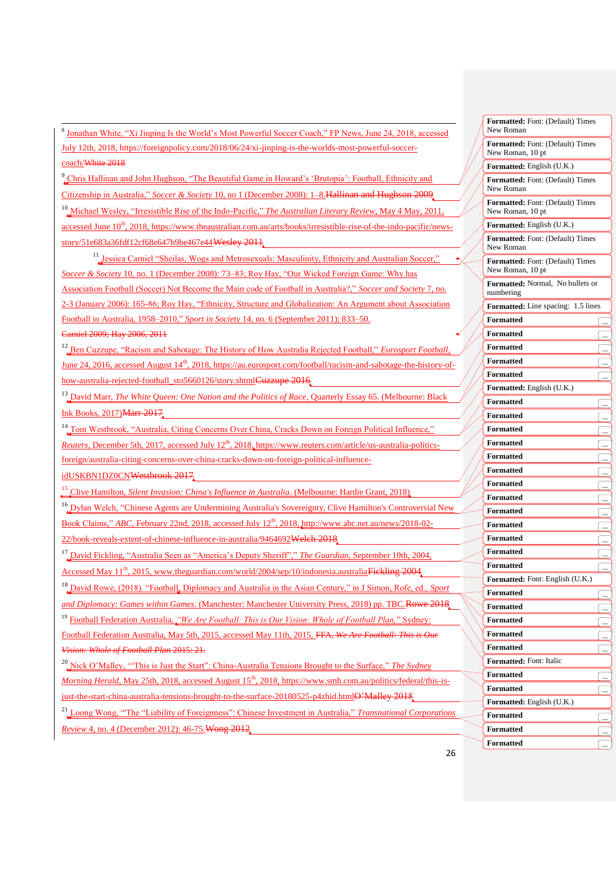-<br><sup>8</sup> Jonathan White, "Xi Jinping Is the World's Most Powerful Soccer Coach," FP News, June 24, 2018, accessed July 12th, 2018, https://foreignpolicy.com/2018/06/24/xi-jinping-is-the-worlds-most-powerful-soccercoach/White 2018

<sup>9</sup> Chris Hallinan and John Hughson, "The Beautiful Game in Howard's 'Brutopia': Football, Ethnicity and Citizenship in Australia," *Soccer & Society* 10, no 1 (December 2008): 1–8.Hallinan and Hughson 2009 <sup>10</sup> Michael Wesley, "Irresistible Rise of the Indo-Pacific," *The Australian Literary Review*, May 4 May, 2011, accessed June 10<sup>th</sup>, 2018, https://www.theaustralian.com.au/arts/books/irresistible-rise-of-the-indo-pacific/newsstory/51e683a36fdf12cf68e647b9be467e44Wesley 2011

<sup>11</sup> Jessica Carniel "Sheilas, Wogs and Metrosexuals: Masculinity, Ethnicity and Australian Soccer," *Soccer & Society* 10, no. 1 (December 2008): 73–83; Roy Hay, "Our Wicked Foreign Game: Why has Association Football (Soccer) Not Become the Main code of Football in Australia?," *Soccer and Society* 7, no. 2-3 (January 2006): 165-86; Roy Hay, "Ethnicity, Structure and Globalization: An Argument about Association Football in Australia, 1958–2010," *Sport in Society* 14, no. 6 (September 2011); 833–50. Carniel 2009; Hay 2006, 2011

<sup>12</sup>, Ben Cuzzupe, "Racism and Sabotage: The History of How Australia Rejected Football," *Eurosport Football*, June 24, 2016, accessed August 14<sup>th</sup>, 2018, https://au.eurosport.com/football/racism-and-sabotage-the-history-ofhow-australia-rejected-football\_sto5660126/story.shtml<del>Cuzzupe 2016</del>

<sup>13</sup>, David Mar<u>r, *The White Queen: One Nation and the Politics of Race*, Quarterly Essay 65. (Melbourne: Black</u> Ink Books, 2017)Marr 2017

<sup>14</sup> Tom Westbrook, "Australia, Citing Concerns Over China, Cracks Down on Foreign Political Influence," *Reuters*, December 5th, 2017, accessed July 12<sup>th</sup>, 2018. https://www.reuters.com/article/us-australia-politicsforeign/australia-citing-concerns-over-china-cracks-down-on-foreign-political-influence-

idUSKBN1DZ0CNWestbrook 2017

<sup>15</sup> Clive Hamilton, *Silent Invasion: China's Influence in Australia*. (Melbourne: Hardie Grant, 2018)

<sup>16</sup> Dylan Welch, "Chinese Agents are Undermining Australia's Sovereignty, Clive Hamilton's Controversial New Book Claims," *ABC*, February 22nd, 2018, accessed July 12<sup>th</sup>, 2018, http://www.abc.net.au/news/2018-02-22/book-reveals-extent-of-chinese-influence-in-australia/9464692Welch 2018

<sup>17</sup> David Fickling, "Australia Seen as "America's Deputy Sheriff"," *The Guardian*, September 10th, 2004, Accessed May 11<sup>th</sup>, 2015, www.theguardian.com/world/2004/sep/10/indonesia.australiaFickling 2004,

<sup>18</sup> David Rowe, (2018). "Football, Diplomacy and Australia in the Asian Century," in J Simon, Rofe, ed., *Sport* 

*and Diplomacy: Games within Games*. (Manchester: Manchester University Press, 2018) pp. TBC.Rowe 2018 <sup>19</sup> Football Federation Australia, *"We Are Football: This is Our Vision: Whole of Football Plan,*" Sydney:

Football Federation Australia, May 5th, 2015, accessed May 11th, 2015, FFA, *We Are Football: This is Our Vision: Whole of Football Plan* 2015: 21.

<sup>20</sup> Nick O'Malley, '"This is Just the Start": China-Australia Tensions Brought to the Surface," *The Sydney Morning Herald*, May 25th, 2018, accessed August 15<sup>th</sup>, 2018, https://www.smh.com.au/politics/federal/this-isjust-the-start-china-australia-tensions-brought-to-the-surface-20180525-p4zhid.htmlO'Malley 2018.

<sup>21</sup> Loong Wong, "'The "Liability of Foreignness": Chinese Investment in Australia," *Transnational Corporations Review* 4, no. 4 (December 2012): 46-75.Wong 2012

| Formatted: Font: (Default) Times<br>New Roman        |           |
|------------------------------------------------------|-----------|
| Formatted: Font: (Default) Times<br>New Roman, 10 pt |           |
| <b>Formatted:</b> English (U.K.)                     |           |
| <b>Formatted:</b> Font: (Default) Times<br>New Roman |           |
| Formatted: Font: (Default) Times<br>New Roman, 10 pt |           |
| <b>Formatted:</b> English (U.K.)                     |           |
| <b>Formatted:</b> Font: (Default) Times<br>New Roman |           |
| Formatted: Font: (Default) Times<br>New Roman, 10 pt |           |
| Formatted: Normal, No bullets or<br>numbering        |           |
| <b>Formatted:</b> Line spacing: 1.5 lines            |           |
| <b>Formatted</b>                                     |           |
| <b>Formatted</b>                                     |           |
| Formatted                                            |           |
| Formatted                                            | . <u></u> |
| Formatted                                            |           |
| <b>Formatted:</b> English (U.K.)                     |           |
| Formatted                                            |           |
| Formatted                                            |           |
| Formatted                                            |           |
| Formatted                                            |           |
| Formatted                                            |           |
| Formatted                                            |           |
| Formatted                                            |           |
| Formatted                                            |           |
| Formatted                                            |           |
| Formatted                                            |           |
| Formatted                                            |           |
| Formatted                                            |           |
| Formatted                                            |           |
| Formatted: Font: English (U.K.)                      |           |
| <b>Formatted</b>                                     | $\ddotsc$ |
| <b>Formatted</b>                                     |           |
| <b>Formatted</b>                                     |           |
| Formatted                                            |           |
| <b>Formatted</b>                                     |           |
| Formatted: Font: Italic                              |           |
| <b>Formatted</b>                                     |           |
| Formatted                                            |           |
| Formatted: English (U.K.)                            |           |
| <b>Formatted</b>                                     |           |
| <b>Formatted</b>                                     |           |
| Formatted                                            |           |
|                                                      |           |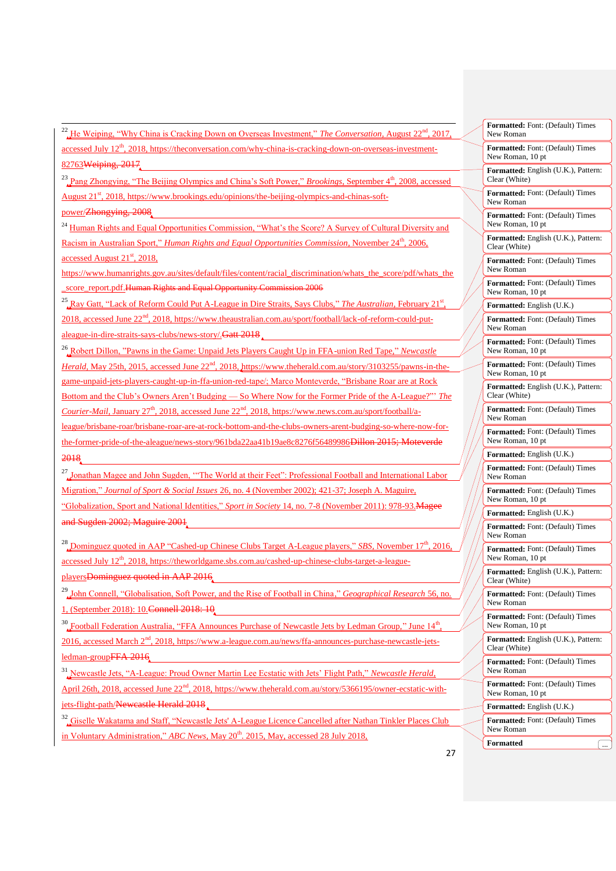<sup>22</sup> He Weiping, "Why China is Cracking Down on Overseas Investment," *The Conversation*, August 22<sup>nd</sup>, 2017, accessed July 12th, 2018, https://theconversation.com/why-china-is-cracking-down-on-overseas-investment-82763Weiping, 2017

<sup>23</sup> Pang Zhongying, "The Beijing Olympics and China's Soft Power," *Brookings*, September 4<sup>th</sup>, 2008, accessed

August 21<sup>st</sup>, 2018, https://www.brookings.edu/opinions/the-beijing-olympics-and-chinas-soft-

power/Zhongying, 2008

1

<sup>24</sup> Human Rights and Equal Opportunities Commission, "What's the Score? A Survey of Cultural Diversity and Racism in Australian Sport," *Human Rights and Equal Opportunities Commission*, November 24<sup>th</sup>, 2006, accessed August  $21<sup>st</sup>$ , 2018,

https://www.humanrights.gov.au/sites/default/files/content/racial\_discrimination/whats\_the\_score/pdf/whats\_the score\_report.pdf.Human Rights and Equal Opportunity Commission 2006

<sup>25</sup>, Ray Gatt, "Lack of Reform Could Put A-League in Dire Straits, Says Clubs," *The Australian*, February 21<sup>st</sup>, 2018, accessed June 22<sup>nd</sup>, 2018, https://www.theaustralian.com.au/sport/football/lack-of-reform-could-putaleague-in-dire-straits-says-clubs/news-story/.Gatt 2018

<sup>26</sup> Robert Dillon, "Pawns in the Game: Unpaid Jets Players Caught Up in FFA-union Red Tape," *Newcastle Herald*, May 25th, 2015, accessed June 22<sup>nd</sup>, 2018, https://www.theherald.com.au/story/3103255/pawns-in-thegame-unpaid-jets-players-caught-up-in-ffa-union-red-tape/; Marco Monteverde, "Brisbane Roar are at Rock Bottom and the Club's Owners Aren't Budging — So Where Now for the Former Pride of the A-League?"' *The Courier-Mail*, January 27<sup>th</sup>, 2018, accessed June 22<sup>nd</sup>, 2018, https://www.news.com.au/sport/football/aleague/brisbane-roar/brisbane-roar-are-at-rock-bottom-and-the-clubs-owners-arent-budging-so-where-now-forthe-former-pride-of-the-aleague/news-story/961bda22aa41b19ae8c8276f56489986<del>Dillon 2015; Moteverde</del> 2018

<sup>27</sup> Jonathan Magee and John Sugden, "The World at their Feet": Professional Football and International Labor Migration," *Journal of Sport & Social Issues* 26, no. 4 (November 2002); 421-37; Joseph A. Maguire, "Globalization, Sport and National Identities," *Sport in Society* 14, no. 7-8 (November 2011): 978-93.Magee and Sugden 2002; Maguire 2001

<sup>28</sup> Dominguez quoted in AAP "Cashed-up Chinese Clubs Target A-League players," *SBS*, November 17<sup>th</sup>, 2016, accessed July 12<sup>th</sup>, 2018, https://theworldgame.sbs.com.au/cashed-up-chinese-clubs-target-a-league-

playersDominguez quoted in AAP 2016

<sup>29</sup> John Connell, "Globalisation, Soft Power, and the Rise of Football in China," *Geographical Research* 56, no. 1, (September 2018): 10.Connell 2018: 10

<sup>30</sup> Football Federation Australia, "FFA Announces Purchase of Newcastle Jets by Ledman Group," June  $14<sup>th</sup>$ , 2016, accessed March 2<sup>nd</sup>, 2018, https://www.a-league.com.au/news/ffa-announces-purchase-newcastle-jetsledman-groupFFA 2016

<sup>31</sup> Newcastle Jets, "A-League: Proud Owner Martin Lee Ecstatic with Jets' Flight Path," *Newcastle Herald*, April 26th, 2018, accessed June 22<sup>nd</sup>, 2018, https://www.theherald.com.au/story/5366195/owner-ecstatic-withjets-flight-path/Newcastle Herald 2018

<sup>32</sup> Giselle Wakatama and Staff, "Newcastle Jets' A-League Licence Cancelled after Nathan Tinkler Places Club in Voluntary Administration," *ABC News*, May 20<sup>th</sup>. 2015, May, accessed 28 July 2018,

| Formatted: Font: (Default) Times<br>New Roman               |
|-------------------------------------------------------------|
| Formatted: Font: (Default) Times<br>New Roman, 10 pt        |
| Formatted: English (U.K.), Pattern:<br>Clear (White)        |
| Formatted: Font: (Default) Times<br>New Roman               |
| Formatted: Font: (Default) Times<br>New Roman, 10 pt        |
| Formatted: English (U.K.), Pattern:<br>Clear (White)        |
| Formatted: Font: (Default) Times<br>New Roman               |
| <b>Formatted:</b> Font: (Default) Times<br>New Roman, 10 pt |
| Formatted: English (U.K.)                                   |
| <b>Formatted:</b> Font: (Default) Times<br>New Roman        |
| Formatted: Font: (Default) Times<br>New Roman, 10 pt        |
| Formatted: Font: (Default) Times<br>New Roman, 10 pt        |
| Formatted: English (U.K.), Pattern:<br>Clear (White)        |
| Formatted: Font: (Default) Times<br>New Roman               |
| Formatted: Font: (Default) Times<br>New Roman, 10 pt        |
| Formatted: English (U.K.)                                   |
| Formatted: Font: (Default) Times<br>New Roman               |
| Formatted: Font: (Default) Times<br>New Roman, 10 pt        |
| Formatted: English (U.K.)                                   |
| <b>Formatted:</b> Font: (Default) Times<br>New Roman        |
| Formatted: Font: (Default) Times<br>New Roman, 10 pt        |
| Formatted: English (U.K.), Pattern:<br>Clear (White)        |
| Formatted: Font: (Default) Times<br>New Roman               |
| Formatted: Font: (Default) Times<br>New Roman, 10 pt        |
| Formatted: English (U.K.), Pattern:<br>Clear (White)        |
| Formatted: Font: (Default) Times<br>New Roman               |
| <b>Formatted:</b> Font: (Default) Times<br>New Roman, 10 pt |
| Formatted: English (U.K.)                                   |
| Formatted: Font: (Default) Times<br>New Roman               |
| Formatted                                                   |

27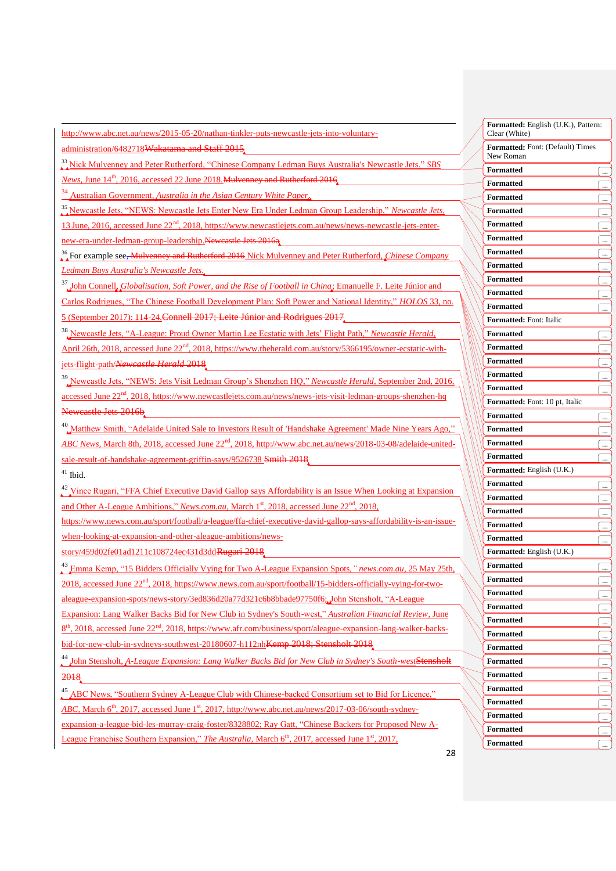http://www.abc.net.au/news/2015-05-20/nathan-tinkler-puts-newcastle-jets-into-voluntary-

administration/6482718Wakatama and Staff 2015

<sup>33</sup> Nick Mulvenney and Peter Rutherford, "Chinese Company Ledman Buys Australia's Newcastle Jets," *SBS* 

*News*, June 14<sup>th</sup>, 2016, accessed 22 June 2018. Mulvenney and Rutherford 2016.

<sup>34</sup> Australian Government, *Australia in the Asian Century White Paper*.

<sup>35</sup> Newcastle Jets, "NEWS: Newcastle Jets Enter New Era Under Ledman Group Leadership," *Newcastle Jets*, 13 June, 2016, accessed June 22<sup>nd</sup>, 2018, https://www.newcastlejets.com.au/news/news-newcastle-jets-enter-

new-era-under-ledman-group-leadership.Newcastle Jets 2016a

<sup>36</sup> For example see, Mulvenney and Rutherford 2016 Nick Mulvenney and Peter Rutherford, *Chinese Company Ledman Buys Australia's Newcastle Jets.*

<sup>37</sup> John Connell, *Globalisation, Soft Power, and the Rise of Football in China*; Emanuelle F. Leite Júnior and

Carlos Rodrigues, "The Chinese Football Development Plan: Soft Power and National Identity," *HOLOS* 33, no. 5 (September 2017): 114-24.Connell 2017; Leite Júnior and Rodrigues 2017

<sup>38</sup> Newcastle Jets, "A-League: Proud Owner Martin Lee Ecstatic with Jets' Flight Path," *Newcastle Herald*,

April 26th, 2018, accessed June 22<sup>nd</sup>, 2018, https://www.theherald.com.au/story/5366195/owner-ecstatic-withjets-flight-path/*Newcastle Herald* 2018

<sup>39</sup> Newcastle Jets, "NEWS: Jets Visit Ledman Group's Shenzhen HQ," *Newcastle Herald*, September 2nd, 2016, accessed June 22<sup>nd</sup>, 2018, https://www.newcastlejets.com.au/news/news-jets-visit-ledman-groups-shenzhen-hq

Newcastle Jets 2016b

<sup>40</sup> Matthew Smith, "Adelaide United Sale to Investors Result of 'Handshake Agreement' Made Nine Years Ago," *ABC News, March 8th, 2018, accessed June 22<sup>nd</sup>, 2018, http://www.abc.net.au/news/2018-03-08/adelaide-united*sale-result-of-handshake-agreement-griffin-says/9526738 Smith 2018

 $^{41}$  Ibid.

1

<sup>42</sup> Vince Rugari, "FFA Chief Executive David Gallop says Affordability is an Issue When Looking at Expansion and Other A-League Ambitions," *News.com.au*, March 1<sup>st</sup>, 2018, accessed June 22<sup>nd</sup>, 2018,

https://www.news.com.au/sport/football/a-league/ffa-chief-executive-david-gallop-says-affordability-is-an-issuewhen-looking-at-expansion-and-other-aleague-ambitions/news-

story/459d02fe01ad1211c108724ec431d3ddRugari 2018

<sup>43</sup> Emma Kemp, "15 Bidders Officially Vying for Two A-League Expansion Spots*," news.com.au*, 25 May 25th, 2018, accessed June 22<sup>nd</sup>, 2018, https://www.news.com.au/sport/football/15-bidders-officially-vying-for-twoaleague-expansion-spots/news-story/3ed836d20a77d321c6b8bbade97750f6; John Stensholt, "A-League

Expansion: Lang Walker Backs Bid for New Club in Sydney's South-west," *Australian Financial Review*, June 8<sup>th</sup>, 2018, accessed June 22<sup>nd</sup>, 2018, https://www.afr.com/business/sport/aleague-expansion-lang-walker-backs-

bid-for-new-club-in-sydneys-southwest-20180607-h112nh<del>Kemp 2018; Stensholt 2018</del>

<sup>44</sup> John Stensholt, *A-League Expansion: Lang Walker Backs Bid for New Club in Sydney's South-west*Stensholt 2018

<sup>45</sup> ABC News, "Southern Sydney A-League Club with Chinese-backed Consortium set to Bid for Licence," *ABC*, March  $6<sup>th</sup>$ , 2017, accessed June 1<sup>st</sup>, 2017, http://www.abc.net.au/news/2017-03-06/south-sydneyexpansion-a-league-bid-les-murray-craig-foster/8328802; Ray Gatt, "Chinese Backers for Proposed New A-League Franchise Southern Expansion," *The Australia*, March 6<sup>th</sup>, 2017, accessed June 1<sup>st</sup>, 2017,

| Formatted: English (U.K.), Pattern:<br>Clear (White) |                |  |  |  |
|------------------------------------------------------|----------------|--|--|--|
| <b>Formatted:</b> Font: (Default) Times<br>New Roman |                |  |  |  |
| <b>Formatted</b>                                     |                |  |  |  |
| Formatted                                            |                |  |  |  |
| <b>Formatted</b>                                     |                |  |  |  |
| <b>Formatted</b>                                     |                |  |  |  |
| <b>Formatted</b>                                     |                |  |  |  |
| <b>Formatted</b>                                     |                |  |  |  |
| Formatted                                            |                |  |  |  |
| <b>Formatted</b>                                     |                |  |  |  |
| <b>Formatted</b>                                     |                |  |  |  |
| <b>Formatted</b>                                     |                |  |  |  |
|                                                      |                |  |  |  |
| Formatted                                            |                |  |  |  |
| Formatted: Font: Italic                              |                |  |  |  |
| <b>Formatted</b>                                     |                |  |  |  |
| <b>Formatted</b>                                     |                |  |  |  |
| <b>Formatted</b>                                     |                |  |  |  |
| <b>Formatted</b>                                     |                |  |  |  |
| <b>Formatted</b>                                     |                |  |  |  |
| Formatted: Font: 10 pt, Italic                       |                |  |  |  |
| <b>Formatted</b>                                     |                |  |  |  |
| <b>Formatted</b>                                     |                |  |  |  |
| Formatted                                            |                |  |  |  |
| Formatted                                            |                |  |  |  |
| Formatted: English (U.K.)                            |                |  |  |  |
| <b>Formatted</b>                                     | <u></u>        |  |  |  |
| Formatted                                            |                |  |  |  |
| Formatted                                            |                |  |  |  |
| <b>Formatted</b>                                     |                |  |  |  |
| <b>Formatted</b>                                     |                |  |  |  |
| Formatted: English (U.K.)                            |                |  |  |  |
| Formatted                                            |                |  |  |  |
| Formatted                                            |                |  |  |  |
| Formatted                                            |                |  |  |  |
| Formatted                                            | $\ddot{\cdot}$ |  |  |  |
|                                                      |                |  |  |  |
| <b>Formatted</b>                                     |                |  |  |  |
| <b>Formatted</b>                                     |                |  |  |  |
| <b>Formatted</b>                                     |                |  |  |  |
| <b>Formatted</b>                                     |                |  |  |  |
| <b>Formatted</b>                                     |                |  |  |  |
| <b>Formatted</b>                                     |                |  |  |  |
| <b>Formatted</b>                                     |                |  |  |  |
| <b>Formatted</b>                                     |                |  |  |  |
| <b>Formatted</b>                                     | $\ldots$       |  |  |  |
| <b>Formatted</b>                                     |                |  |  |  |
|                                                      |                |  |  |  |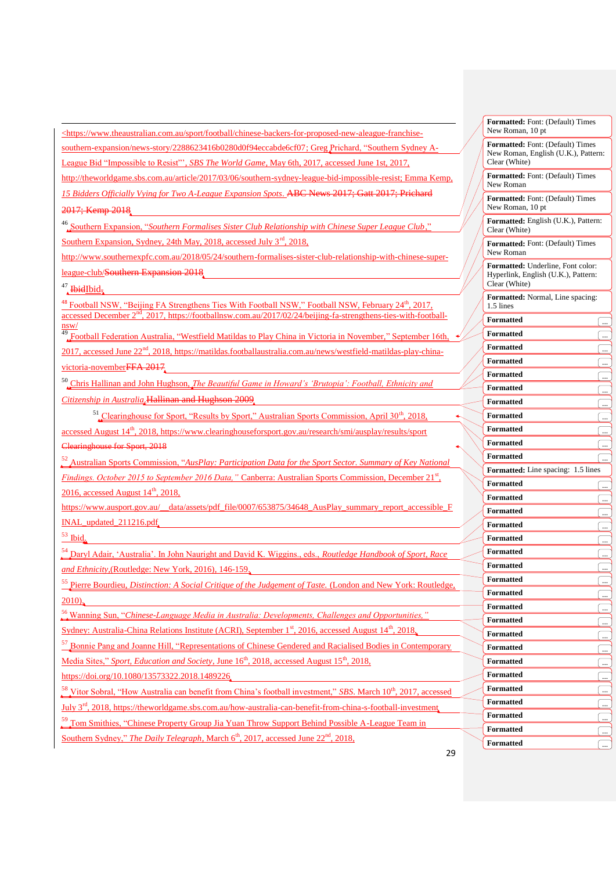$\langle$ https://www.theaustralian.com.au/sport/football/chinese-backers-for-proposed-new-aleague-franchise-

southern-expansion/news-story/2288623416b0280d0f94eccabde6cf07; Greg Prichard, "Southern Sydney A-League Bid "Impossible to Resist"', *SBS The World Game*, May 6th, 2017, accessed June 1st, 2017,

http://theworldgame.sbs.com.au/article/2017/03/06/southern-sydney-league-bid-impossible-resist; Emma Kemp,

*15 Bidders Officially Vying for Two A-League Expansion Spots*. ABC News 2017; Gatt 2017; Prichard 2017; Kemp 2018

<sup>46</sup> Southern Expansion, "*Southern Formalises Sister Club Relationship with Chinese Super League Club*," Southern Expansion, Sydney, 24th May, 2018, accessed July 3<sup>rd</sup>, 2018,

http://www.southernexpfc.com.au/2018/05/24/southern-formalises-sister-club-relationship-with-chinese-superleague-club/Southern Expansion 2018

 $47$  HbidIbid.

1

<sup>48</sup> Football NSW, "Beijing FA Strengthens Ties With Football NSW," Football NSW, February 24<sup>th</sup>, 2017, accessed December 2<sup>nd</sup>, 2017, https://footballnsw.com.au/2017/02/24/beijing-fa-strengthens-ties-with-footballnsw/

<sup>49</sup> Football Federation Australia, "Westfield Matildas to Play China in Victoria in November," September 16th 2017, accessed June 22nd, 2018, https://matildas.footballaustralia.com.au/news/westfield-matildas-play-chinavictoria-novemberFFA 2017

<sup>50</sup> Chris Hallinan and John Hughson, *The Beautiful Game in Howard's 'Brutopia': Football, Ethnicity and Citizenship in Australia*.Hallinan and Hughson 2009

 $51$  Clearinghouse for Sport, "Results by Sport," Australian Sports Commission, April  $30<sup>th</sup>$ , 2018,

accessed August  $14<sup>th</sup>$ , 2018, https://www.clearinghouseforsport.gov.au/research/smi/ausplay/results/sport Clearinghouse for Sport, 2018

<sup>52</sup> Australian Sports Commission, "*AusPlay: Participation Data for the Sport Sector. Summary of Key National Findings. October 2015 to September 2016 Data,* "Canberra: Australian Sports Commission, December 21<sup>st</sup>,

 $2016$ , accessed August  $14<sup>th</sup>$ ,  $2018$ ,

https://www.ausport.gov.au/\_\_data/assets/pdf\_file/0007/653875/34648\_AusPlay\_summary\_report\_accessible\_F INAL\_updated\_211216.pdf

 $53$  Ibid.

<sup>4</sup> Daryl Adair, 'Australia'. In John Nauright and David K. Wiggins., eds., *Routledge Handbook of Sport, Race and Ethnicity,*(Routledge: New York, 2016), 146-159.

<sup>55</sup> Pierre Bourdieu, *Distinction: A Social Critique of the Judgement of Taste.* (London and New York: Routledge, 2010).

<sup>56</sup> Wanning Sun, "*Chinese-Language Media in Australia: Developments, Challenges and Opportunities,"*

Sydney: Australia-China Relations Institute (ACRI), September  $1<sup>st</sup>$ , 2016, accessed August  $14<sup>th</sup>$ , 2018,

<sup>57</sup> Bonnie Pang and Joanne Hill, "Representations of Chinese Gendered and Racialised Bodies in Contemporary

Media Sites," *Sport, Education and Society*, June 16<sup>th</sup>, 2018, accessed August 15<sup>th</sup>, 2018,

https://doi.org/10.1080/13573322.2018.1489226

<sup>58</sup> Vitor Sobral, "How Australia can benefit from China's football investment," *SBS*. March 10th, 2017, accessed

July 3rd, 2018, https://theworldgame.sbs.com.au/how-australia-can-benefit-from-china-s-football-investment

<sup>9</sup> Tom Smithies, "Chinese Property Group Jia Yuan Throw Support Behind Possible A-League Team in

Southern Sydney," *The Daily Telegraph*, March 6<sup>th</sup>, 2017, accessed June 22<sup>nd</sup>, 2018,

| ш<br>н<br>laticu. I Ulli. (Delault <i>)</i><br><b>THIL</b> S<br>New Roman, 10 pt          |            |  |  |
|-------------------------------------------------------------------------------------------|------------|--|--|
| Formatted: Font: (Default) Times<br>New Roman, English (U.K.), Pattern:<br>Clear (White)  |            |  |  |
| <b>Formatted:</b> Font: (Default) Times<br>New Roman                                      |            |  |  |
| <b>Formatted:</b> Font: (Default) Times<br>New Roman, 10 pt                               |            |  |  |
| <b>Formatted:</b> English (U.K.), Pattern:<br>Clear (White)                               |            |  |  |
| <b>Formatted:</b> Font: (Default) Times<br>New Roman                                      |            |  |  |
| Formatted: Underline, Font color:<br>Hyperlink, English (U.K.), Pattern:<br>Clear (White) |            |  |  |
| Formatted: Normal, Line spacing:<br>1.5 lines                                             |            |  |  |
| Formatted                                                                                 | l          |  |  |
| Formatted                                                                                 |            |  |  |
| Formatted                                                                                 |            |  |  |
| Formatted                                                                                 |            |  |  |
| Formatted                                                                                 | $\ddotsc$  |  |  |
| Formatted                                                                                 | $\ddotsc$  |  |  |
| Formatted                                                                                 |            |  |  |
|                                                                                           |            |  |  |
| <b>Formatted</b>                                                                          |            |  |  |
| <b>Formatted</b>                                                                          | $\ddots$   |  |  |
| <b>Formatted</b>                                                                          | $\ddotsc$  |  |  |
| Formatted                                                                                 |            |  |  |
| Formatted: Line spacing:<br>1.5 lines                                                     |            |  |  |
| Formatted                                                                                 |            |  |  |
| Formatted                                                                                 | $\ddotsc$  |  |  |
| Formatted                                                                                 | $\ddotsc$  |  |  |
| Formatted                                                                                 |            |  |  |
| Formatted                                                                                 |            |  |  |
| Formatted                                                                                 |            |  |  |
| Formatted                                                                                 |            |  |  |
| Formatted                                                                                 | $\ddotsc$  |  |  |
| Formatted                                                                                 |            |  |  |
| <b>Formatted</b>                                                                          | $\ddotsc$  |  |  |
|                                                                                           | <u></u> با |  |  |
| <b>Formatted</b>                                                                          |            |  |  |
| <b>Formatted</b>                                                                          | $\ldots$   |  |  |
| <b>Formatted</b>                                                                          | I          |  |  |
| <b>Formatted</b>                                                                          | $\ddotsc$  |  |  |
| <b>Formatted</b>                                                                          | $\ldots$   |  |  |
| <b>Formatted</b>                                                                          |            |  |  |
| <b>Formatted</b>                                                                          | $\ddotsc$  |  |  |
| <b>Formatted</b>                                                                          | $\ddotsc$  |  |  |
| <b>Formatted</b>                                                                          | $\ldots$   |  |  |
| Formatted                                                                                 | $\cdots$   |  |  |
|                                                                                           |            |  |  |

**Formatted:** Font: (Default) Times

29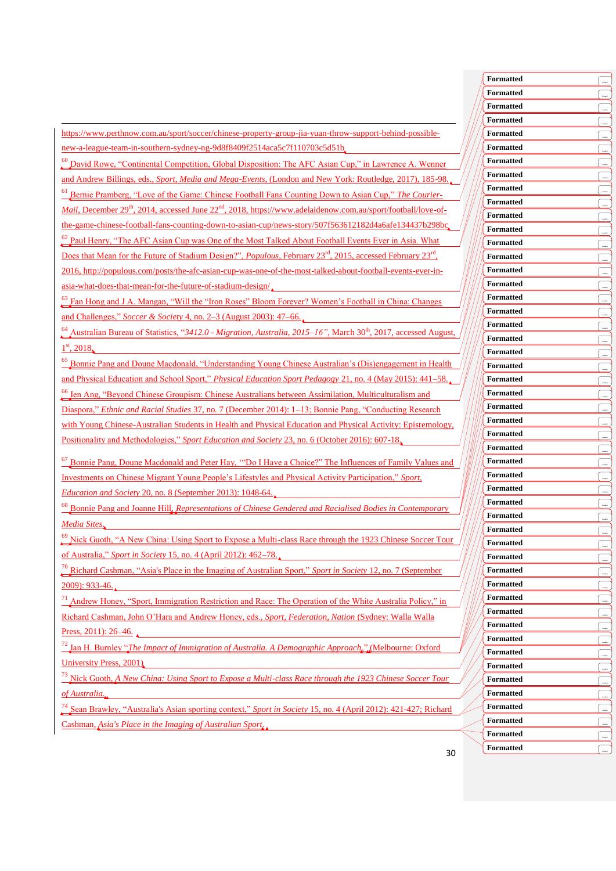https://www.perthnow.com.au/sport/soccer/chinese-property-group-jia-yuan-throw-support-behind-possiblenew-a-league-team-in-southern-sydney-ng-9d8f8409f2514aca5c7f110703c5d51b

1

<sup>60</sup> David Rowe, "Continental Competition, Global Disposition: The AFC Asian Cup," in Lawrence A. Wenner and Andrew Billings, eds., *Sport, Media and Mega-Events*, (London and New York: Routledge, 2017), 185-98.

<sup>61</sup> Bernie Pramberg, "Love of the Game: Chinese Football Fans Counting Down to Asian Cup," *The Courier-Mail*, December 29<sup>th</sup>, 2014, accessed June 22<sup>nd</sup>, 2018, https://www.adelaidenow.com.au/sport/football/love-ofthe-game-chinese-football-fans-counting-down-to-asian-cup/news-story/507f563612182d4a6afe134437b298bc

<sup>62</sup> Paul Henry, "The AFC Asian Cup was One of the Most Talked About Football Events Ever in Asia. What

Does that Mean for the Future of Stadium Design?", *Populous*, February 23<sup>rd</sup>, 2015, accessed February 23<sup>rd</sup>, 2016, http://populous.com/posts/the-afc-asian-cup-was-one-of-the-most-talked-about-football-events-ever-inasia-what-does-that-mean-for-the-future-of-stadium-design/

<sup>3</sup> Fan Hong and J A. Mangan, "Will the "Iron Roses" Bloom Forever? Women's Football in China: Changes and Challenges," *Soccer & Society* 4, no. 2–3 (August 2003): 47–66.

<sup>64</sup> Australian Bureau of Statistics, "*3412.0 - Migration, Australia, 2015–16"*, March 30th, 2017, accessed August,  $1<sup>st</sup>$ , 2018,

<sup>65</sup> Bonnie Pang and Doune Macdonald, "Understanding Young Chinese Australian's (Dis)engagement in Health and Physical Education and School Sport," *Physical Education Sport Pedagogy* 21, no. 4 (May 2015): 441–58.

 $<sup>6</sup>$  Ien Ang, "Beyond Chinese Groupism: Chinese Australians between Assimilation, Multiculturalism and</sup> Diaspora," *Ethnic and Racial Studies* 37, no. 7 (December 2014): 1–13; Bonnie Pang, "Conducting Research with Young Chinese-Australian Students in Health and Physical Education and Physical Activity: Epistemology,

Positionality and Methodologies," *Sport Education and Society* 23, no. 6 (October 2016): 607-18.

<sup>67</sup> Bonnie Pang, Doune Macdonald and Peter Hay, '"Do I Have a Choice?" The Influences of Family Values and Investments on Chinese Migrant Young People's Lifestyles and Physical Activity Participation," *Sport, Education and Society* 20, no. 8 (September 2013): 1048-64.

<sup>68</sup> Bonnie Pang and Joanne Hill, *Representations of Chinese Gendered and Racialised Bodies in Contemporary Media Sites*.

<sup>9</sup> Nick Guoth, "A New China: Using Sport to Expose a Multi-class Race through the 1923 Chinese Soccer Tour of Australia," *Sport in Society* 15, no. 4 (April 2012): 462–78.

<sup>70</sup> Richard Cashman, "Asia's Place in the Imaging of Australian Sport," *Sport in Society* 12, no. 7 (September 2009): 933-46.

 $^{71}$  Andrew Honey, "Sport, Immigration Restriction and Race: The Operation of the White Australia Policy," in Richard Cashman, John O'Hara and Andrew Honey, eds., *Sport, Federation, Nation* (Sydney: Walla Walla Press, 2011): 26–46.

<sup>72</sup> Ian H. Burnley "*The Impact of Immigration of Australia. A Demographic Approach*," (Melbourne: Oxford University Press, 2001)

<sup>73</sup> Nick Guoth, *A New China: Using Sport to Expose a Multi-class Race through the 1923 Chinese Soccer Tour of Australia.*

<sup>74</sup> Sean Brawley, "Australia's Asian sporting context," *Sport in Society* 15, no. 4 (April 2012): 421-427; Richard Cashman, *Asia's Place in the Imaging of Australian Sport*.

| <b>Formatted</b> | $\cdot$            |
|------------------|--------------------|
| Formatted        | <u></u>            |
| Formatted        | $\ddotsc$          |
| Formatted        | ( <u></u>          |
| Formatted        | $\mathsf{I}$<br>   |
| <b>Formatted</b> | $\pm$              |
| Formatted        | یت)                |
| Formatted        | l                  |
| Formatted        | l                  |
| <b>Formatted</b> |                    |
| Formatted        | $\cdot$            |
| Formatted        | ( <u></u>          |
| Formatted        | [                  |
| Formatted        | l                  |
| Formatted        | $\overline{1}$<br> |
| Formatted        | $\frac{1}{2}$      |
| Formatted        | <u>ب:</u> )        |
| Formatted        | [                  |
| Formatted        | l <u>.</u>         |
| Formatted        |                    |
| <b>Formatted</b> |                    |
| <b>Formatted</b> | <u>in</u>          |
| Formatted        | ( <u></u><br>[     |
| Formatted        |                    |
| Formatted        | $\mathsf{L}$       |
| Formatted        | <u></u>            |
| Formatted        | ے)                 |
| Formatted        | یب)<br>l           |
| Formatted        |                    |
| Formatted        | <u></u> )          |
| Formatted        |                    |
| Formatted        | ے)                 |
| <b>Formatted</b> | <u>ب.</u>          |
| Formatted        | l                  |
| Formatted        | <u></u> ا          |
| <b>Formatted</b> | $\ddotsc$          |
| <b>Formatted</b> | $\frac{1}{2}$      |
| <b>Formatted</b> | ( <u></u>          |
| <b>Formatted</b> | $\ddotsc$          |
| <b>Formatted</b> | <u></u> ا          |
| <b>Formatted</b> | $\frac{1}{2}$      |
| <b>Formatted</b> | <u>(</u>           |
| Formatted        | …_ا                |
| <b>Formatted</b> | l                  |
| <b>Formatted</b> | l . <u></u>        |
| <b>Formatted</b> | $\ldots$           |
| <b>Formatted</b> | l <u>.</u>         |
| <b>Formatted</b> |                    |
| Formatted        | $\ddotsc$          |
|                  | l                  |
| <b>Formatted</b> | $\pm$              |

30